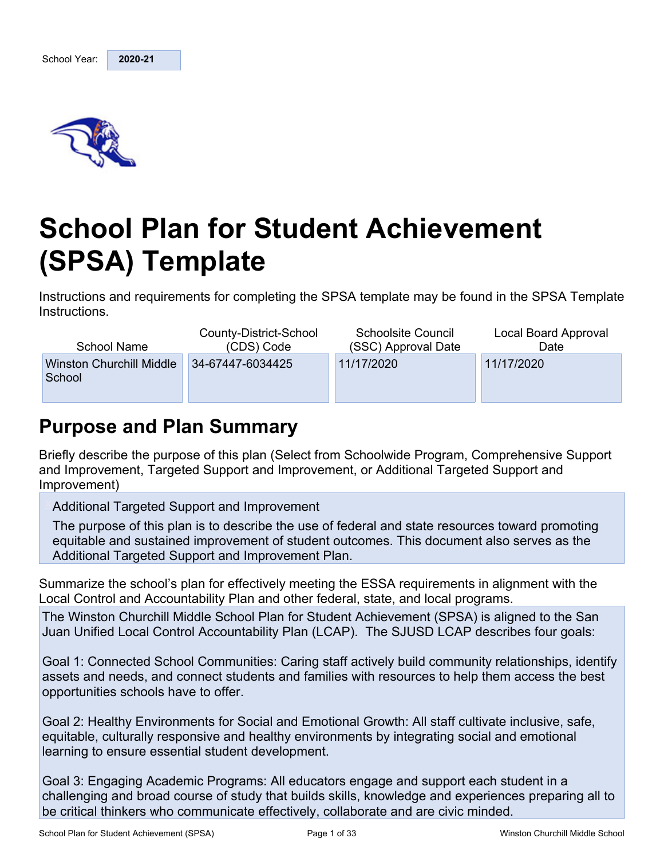

# **School Plan for Student Achievement (SPSA) Template**

Instructions and requirements for completing the SPSA template may be found in the SPSA Template Instructions.

| School Name                               | County-District-School | <b>Schoolsite Council</b> | Local Board Approval |
|-------------------------------------------|------------------------|---------------------------|----------------------|
|                                           | (CDS) Code             | (SSC) Approval Date       | Date                 |
| <b>Winston Churchill Middle</b><br>School | 34-67447-6034425       | 11/17/2020                | 11/17/2020           |

# **Purpose and Plan Summary**

Briefly describe the purpose of this plan (Select from Schoolwide Program, Comprehensive Support and Improvement, Targeted Support and Improvement, or Additional Targeted Support and Improvement)

Additional Targeted Support and Improvement

The purpose of this plan is to describe the use of federal and state resources toward promoting equitable and sustained improvement of student outcomes. This document also serves as the Additional Targeted Support and Improvement Plan.

Summarize the school's plan for effectively meeting the ESSA requirements in alignment with the Local Control and Accountability Plan and other federal, state, and local programs.

The Winston Churchill Middle School Plan for Student Achievement (SPSA) is aligned to the San Juan Unified Local Control Accountability Plan (LCAP). The SJUSD LCAP describes four goals:

Goal 1: Connected School Communities: Caring staff actively build community relationships, identify assets and needs, and connect students and families with resources to help them access the best opportunities schools have to offer.

Goal 2: Healthy Environments for Social and Emotional Growth: All staff cultivate inclusive, safe, equitable, culturally responsive and healthy environments by integrating social and emotional learning to ensure essential student development.

Goal 3: Engaging Academic Programs: All educators engage and support each student in a challenging and broad course of study that builds skills, knowledge and experiences preparing all to be critical thinkers who communicate effectively, collaborate and are civic minded.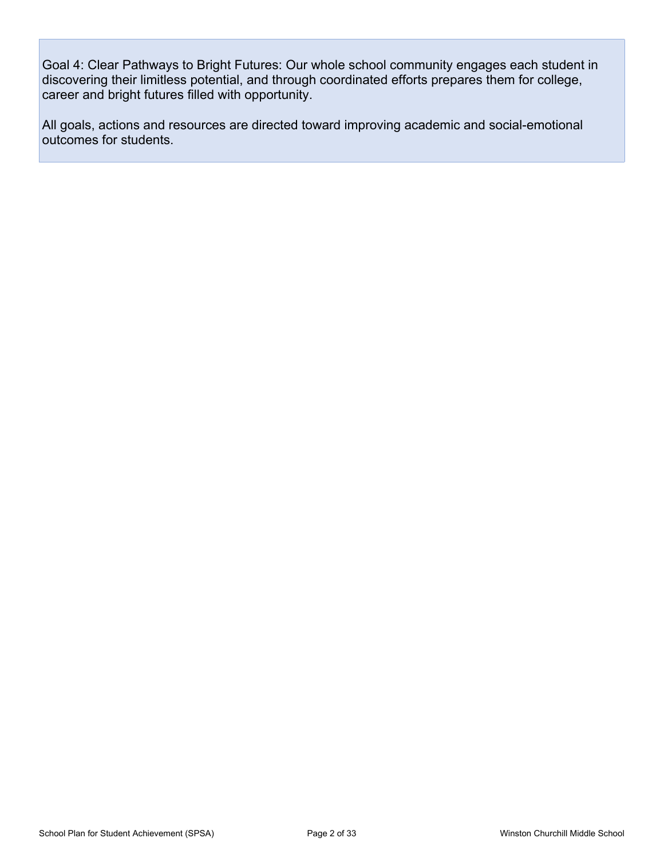Goal 4: Clear Pathways to Bright Futures: Our whole school community engages each student in discovering their limitless potential, and through coordinated efforts prepares them for college, career and bright futures filled with opportunity.

All goals, actions and resources are directed toward improving academic and social-emotional outcomes for students.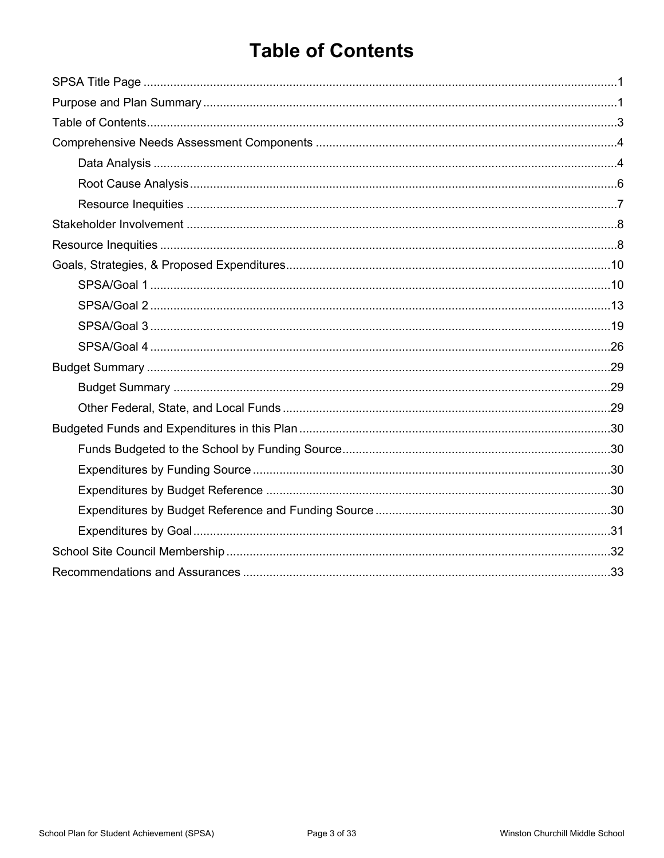# **Table of Contents**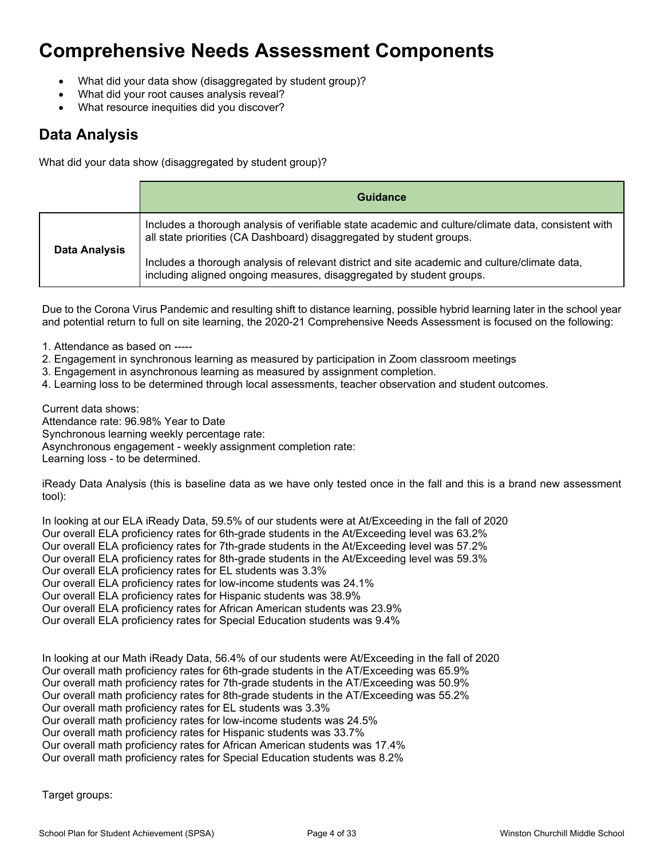# **Comprehensive Needs Assessment Components**

- What did your data show (disaggregated by student group)?
- What did your root causes analysis reveal?
- What resource inequities did you discover?

### **Data Analysis**

What did your data show (disaggregated by student group)?

|               | Guidance                                                                                                                                                                    |
|---------------|-----------------------------------------------------------------------------------------------------------------------------------------------------------------------------|
| Data Analysis | Includes a thorough analysis of verifiable state academic and culture/climate data, consistent with<br>all state priorities (CA Dashboard) disaggregated by student groups. |
|               | Includes a thorough analysis of relevant district and site academic and culture/climate data,<br>including aligned ongoing measures, disaggregated by student groups.       |

Due to the Corona Virus Pandemic and resulting shift to distance learning, possible hybrid learning later in the school year and potential return to full on site learning, the 2020-21 Comprehensive Needs Assessment is focused on the following:

- 1. Attendance as based on -----
- 2. Engagement in synchronous learning as measured by participation in Zoom classroom meetings
- 3. Engagement in asynchronous learning as measured by assignment completion.
- 4. Learning loss to be determined through local assessments, teacher observation and student outcomes.

Current data shows:

Attendance rate: 96.98% Year to Date Synchronous learning weekly percentage rate: Asynchronous engagement - weekly assignment completion rate: Learning loss - to be determined.

iReady Data Analysis (this is baseline data as we have only tested once in the fall and this is a brand new assessment tool):

In looking at our ELA iReady Data, 59.5% of our students were at At/Exceeding in the fall of 2020 Our overall ELA proficiency rates for 6th-grade students in the At/Exceeding level was 63.2% Our overall ELA proficiency rates for 7th-grade students in the At/Exceeding level was 57.2% Our overall ELA proficiency rates for 8th-grade students in the At/Exceeding level was 59.3% Our overall ELA proficiency rates for EL students was 3.3% Our overall ELA proficiency rates for low-income students was 24.1% Our overall ELA proficiency rates for Hispanic students was 38.9% Our overall ELA proficiency rates for African American students was 23.9% Our overall ELA proficiency rates for Special Education students was 9.4%

In looking at our Math iReady Data, 56.4% of our students were At/Exceeding in the fall of 2020 Our overall math proficiency rates for 6th-grade students in the AT/Exceeding was 65.9% Our overall math proficiency rates for 7th-grade students in the AT/Exceeding was 50.9% Our overall math proficiency rates for 8th-grade students in the AT/Exceeding was 55.2% Our overall math proficiency rates for EL students was 3.3% Our overall math proficiency rates for low-income students was 24.5% Our overall math proficiency rates for Hispanic students was 33.7% Our overall math proficiency rates for African American students was 17.4% Our overall math proficiency rates for Special Education students was 8.2%

Target groups: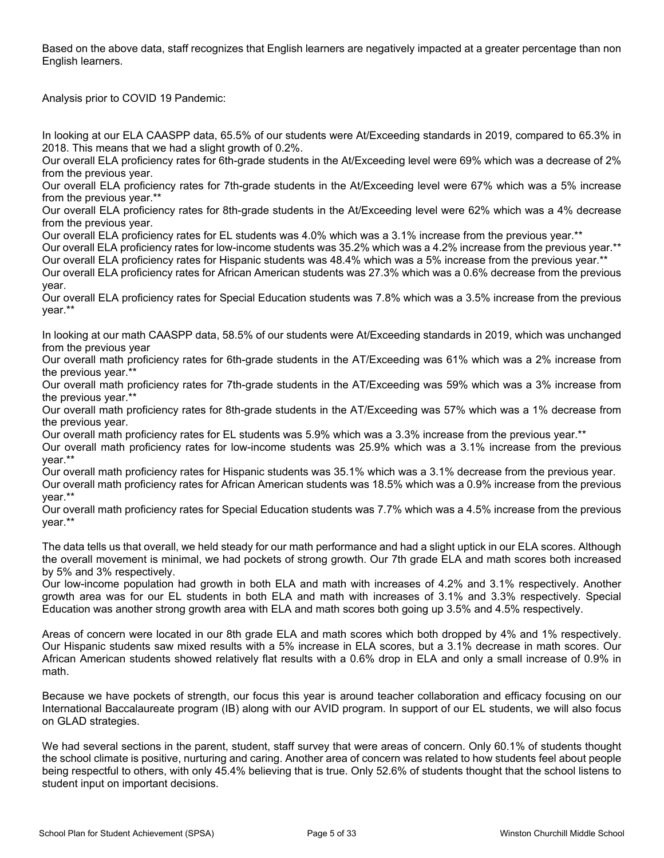Based on the above data, staff recognizes that English learners are negatively impacted at a greater percentage than non English learners.

Analysis prior to COVID 19 Pandemic:

In looking at our ELA CAASPP data, 65.5% of our students were At/Exceeding standards in 2019, compared to 65.3% in 2018. This means that we had a slight growth of 0.2%.

Our overall ELA proficiency rates for 6th-grade students in the At/Exceeding level were 69% which was a decrease of 2% from the previous year.

Our overall ELA proficiency rates for 7th-grade students in the At/Exceeding level were 67% which was a 5% increase from the previous year.\*\*

Our overall ELA proficiency rates for 8th-grade students in the At/Exceeding level were 62% which was a 4% decrease from the previous year.

Our overall ELA proficiency rates for EL students was 4.0% which was a 3.1% increase from the previous year.\*\*

Our overall ELA proficiency rates for low-income students was 35.2% which was a 4.2% increase from the previous year.\*\* Our overall ELA proficiency rates for Hispanic students was 48.4% which was a 5% increase from the previous year.\*\*

Our overall ELA proficiency rates for African American students was 27.3% which was a 0.6% decrease from the previous year.

Our overall ELA proficiency rates for Special Education students was 7.8% which was a 3.5% increase from the previous year.\*\*

In looking at our math CAASPP data, 58.5% of our students were At/Exceeding standards in 2019, which was unchanged from the previous year

Our overall math proficiency rates for 6th-grade students in the AT/Exceeding was 61% which was a 2% increase from the previous year.\*\*

Our overall math proficiency rates for 7th-grade students in the AT/Exceeding was 59% which was a 3% increase from the previous year.\*\*

Our overall math proficiency rates for 8th-grade students in the AT/Exceeding was 57% which was a 1% decrease from the previous year.

Our overall math proficiency rates for EL students was 5.9% which was a 3.3% increase from the previous year.\*\*

Our overall math proficiency rates for low-income students was 25.9% which was a 3.1% increase from the previous year.\*\*

Our overall math proficiency rates for Hispanic students was 35.1% which was a 3.1% decrease from the previous year. Our overall math proficiency rates for African American students was 18.5% which was a 0.9% increase from the previous year.\*\*

Our overall math proficiency rates for Special Education students was 7.7% which was a 4.5% increase from the previous year.\*\*

The data tells us that overall, we held steady for our math performance and had a slight uptick in our ELA scores. Although the overall movement is minimal, we had pockets of strong growth. Our 7th grade ELA and math scores both increased by 5% and 3% respectively.

Our low-income population had growth in both ELA and math with increases of 4.2% and 3.1% respectively. Another growth area was for our EL students in both ELA and math with increases of 3.1% and 3.3% respectively. Special Education was another strong growth area with ELA and math scores both going up 3.5% and 4.5% respectively.

Areas of concern were located in our 8th grade ELA and math scores which both dropped by 4% and 1% respectively. Our Hispanic students saw mixed results with a 5% increase in ELA scores, but a 3.1% decrease in math scores. Our African American students showed relatively flat results with a 0.6% drop in ELA and only a small increase of 0.9% in math.

Because we have pockets of strength, our focus this year is around teacher collaboration and efficacy focusing on our International Baccalaureate program (IB) along with our AVID program. In support of our EL students, we will also focus on GLAD strategies.

We had several sections in the parent, student, staff survey that were areas of concern. Only 60.1% of students thought the school climate is positive, nurturing and caring. Another area of concern was related to how students feel about people being respectful to others, with only 45.4% believing that is true. Only 52.6% of students thought that the school listens to student input on important decisions.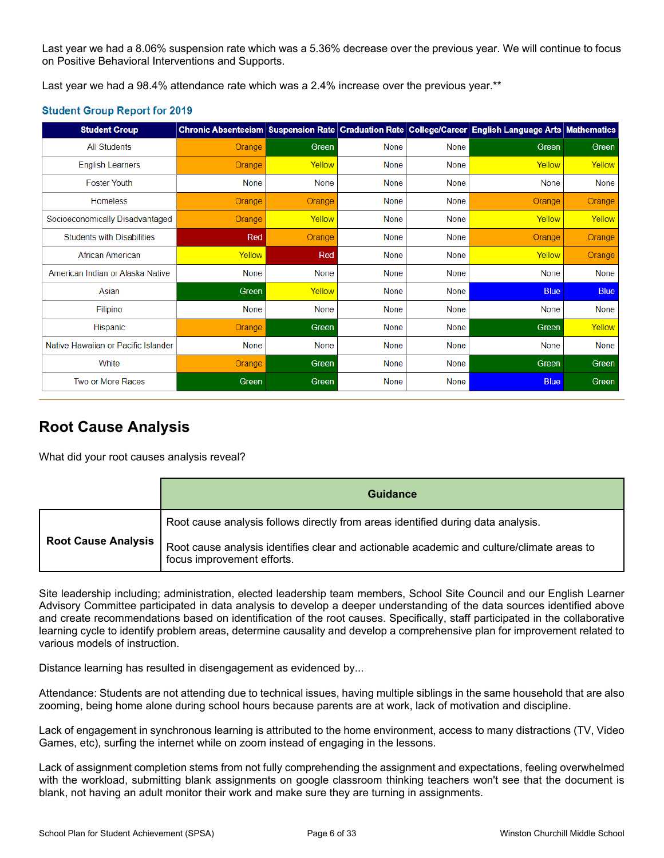Last year we had a 8.06% suspension rate which was a 5.36% decrease over the previous year. We will continue to focus on Positive Behavioral Interventions and Supports.

Last year we had a 98.4% attendance rate which was a 2.4% increase over the previous year.\*\*

#### **Student Group Report for 2019**

| <b>Student Group</b>                |        |              |             |             | Chronic Absenteeism Suspension Rate Graduation Rate College/Career English Language Arts Mathematics |              |
|-------------------------------------|--------|--------------|-------------|-------------|------------------------------------------------------------------------------------------------------|--------------|
| <b>All Students</b>                 | Orange | Green        | <b>None</b> | None        | Green                                                                                                | <b>Green</b> |
| <b>English Learners</b>             | Orange | Yellow       | None        | None        | Yellow                                                                                               | Yellow       |
| <b>Foster Youth</b>                 | None   | <b>None</b>  | None        | None        | None                                                                                                 | None         |
| <b>Homeless</b>                     | Orange | Orange       | None        | None        | Orange                                                                                               | Orange       |
| Socioeconomically Disadvantaged     | Orange | Yellow       | None        | None        | Yellow                                                                                               | Yellow       |
| <b>Students with Disabilities</b>   | Red    | Orange       | None        | <b>None</b> | Orange                                                                                               | Orange       |
| African American                    | Yellow | Red          | None        | None        | Yellow                                                                                               | Orange       |
| American Indian or Alaska Native    | None   | None         | <b>None</b> | <b>None</b> | None                                                                                                 | None         |
| Asian                               | Green  | Yellow       | None        | None        | <b>Blue</b>                                                                                          | <b>Blue</b>  |
| Filipino                            | None   | <b>None</b>  | None        | None        | None                                                                                                 | None         |
| Hispanic                            | Orange | Green        | None        | <b>None</b> | Green                                                                                                | Yellow       |
| Native Hawaiian or Pacific Islander | None   | <b>None</b>  | None        | None        | None                                                                                                 | None         |
| White                               | Orange | <b>Green</b> | None        | <b>None</b> | Green                                                                                                | <b>Green</b> |
| Two or More Races                   | Green  | Green        | None        | None        | <b>Blue</b>                                                                                          | Green        |

### **Root Cause Analysis**

What did your root causes analysis reveal?

|                            | <b>Guidance</b>                                                                                                         |
|----------------------------|-------------------------------------------------------------------------------------------------------------------------|
|                            | Root cause analysis follows directly from areas identified during data analysis.                                        |
| <b>Root Cause Analysis</b> | Root cause analysis identifies clear and actionable academic and culture/climate areas to<br>focus improvement efforts. |

Site leadership including; administration, elected leadership team members, School Site Council and our English Learner Advisory Committee participated in data analysis to develop a deeper understanding of the data sources identified above and create recommendations based on identification of the root causes. Specifically, staff participated in the collaborative learning cycle to identify problem areas, determine causality and develop a comprehensive plan for improvement related to various models of instruction.

Distance learning has resulted in disengagement as evidenced by...

Attendance: Students are not attending due to technical issues, having multiple siblings in the same household that are also zooming, being home alone during school hours because parents are at work, lack of motivation and discipline.

Lack of engagement in synchronous learning is attributed to the home environment, access to many distractions (TV, Video Games, etc), surfing the internet while on zoom instead of engaging in the lessons.

Lack of assignment completion stems from not fully comprehending the assignment and expectations, feeling overwhelmed with the workload, submitting blank assignments on google classroom thinking teachers won't see that the document is blank, not having an adult monitor their work and make sure they are turning in assignments.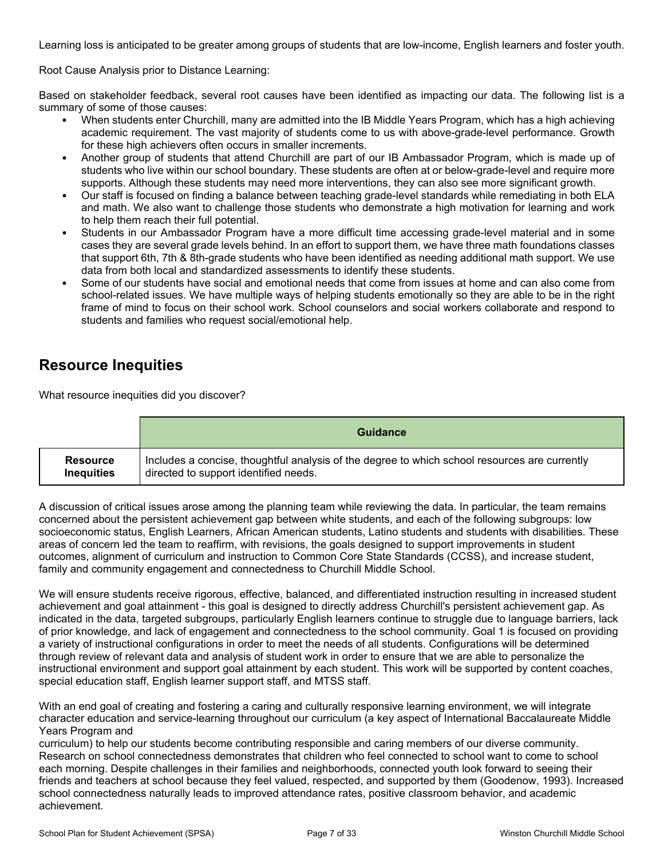Learning loss is anticipated to be greater among groups of students that are low-income, English learners and foster youth.

Root Cause Analysis prior to Distance Learning:

Based on stakeholder feedback, several root causes have been identified as impacting our data. The following list is a summary of some of those causes:

- When students enter Churchill, many are admitted into the IB Middle Years Program, which has a high achieving academic requirement. The vast majority of students come to us with above-grade-level performance. Growth for these high achievers often occurs in smaller increments.
- Another group of students that attend Churchill are part of our IB Ambassador Program, which is made up of students who live within our school boundary. These students are often at or below-grade-level and require more supports. Although these students may need more interventions, they can also see more significant growth.
- Our staff is focused on finding a balance between teaching grade-level standards while remediating in both ELA and math. We also want to challenge those students who demonstrate a high motivation for learning and work to help them reach their full potential.
- Students in our Ambassador Program have a more difficult time accessing grade-level material and in some cases they are several grade levels behind. In an effort to support them, we have three math foundations classes that support 6th, 7th & 8th-grade students who have been identified as needing additional math support. We use data from both local and standardized assessments to identify these students.
- Some of our students have social and emotional needs that come from issues at home and can also come from school-related issues. We have multiple ways of helping students emotionally so they are able to be in the right frame of mind to focus on their school work. School counselors and social workers collaborate and respond to students and families who request social/emotional help.

#### **Resource Inequities**

What resource inequities did you discover?

|                   | <b>Guidance</b>                                                                               |
|-------------------|-----------------------------------------------------------------------------------------------|
| <b>Resource</b>   | Includes a concise, thoughtful analysis of the degree to which school resources are currently |
| <b>Inequities</b> | directed to support identified needs.                                                         |

A discussion of critical issues arose among the planning team while reviewing the data. In particular, the team remains concerned about the persistent achievement gap between white students, and each of the following subgroups: low socioeconomic status, English Learners, African American students, Latino students and students with disabilities. These areas of concern led the team to reaffirm, with revisions, the goals designed to support improvements in student outcomes, alignment of curriculum and instruction to Common Core State Standards (CCSS), and increase student, family and community engagement and connectedness to Churchill Middle School.

We will ensure students receive rigorous, effective, balanced, and differentiated instruction resulting in increased student achievement and goal attainment - this goal is designed to directly address Churchill's persistent achievement gap. As indicated in the data, targeted subgroups, particularly English learners continue to struggle due to language barriers, lack of prior knowledge, and lack of engagement and connectedness to the school community. Goal 1 is focused on providing a variety of instructional configurations in order to meet the needs of all students. Configurations will be determined through review of relevant data and analysis of student work in order to ensure that we are able to personalize the instructional environment and support goal attainment by each student. This work will be supported by content coaches, special education staff, English learner support staff, and MTSS staff.

With an end goal of creating and fostering a caring and culturally responsive learning environment, we will integrate character education and service-learning throughout our curriculum (a key aspect of International Baccalaureate Middle Years Program and

curriculum) to help our students become contributing responsible and caring members of our diverse community. Research on school connectedness demonstrates that children who feel connected to school want to come to school each morning. Despite challenges in their families and neighborhoods, connected youth look forward to seeing their friends and teachers at school because they feel valued, respected, and supported by them (Goodenow, 1993). Increased school connectedness naturally leads to improved attendance rates, positive classroom behavior, and academic achievement.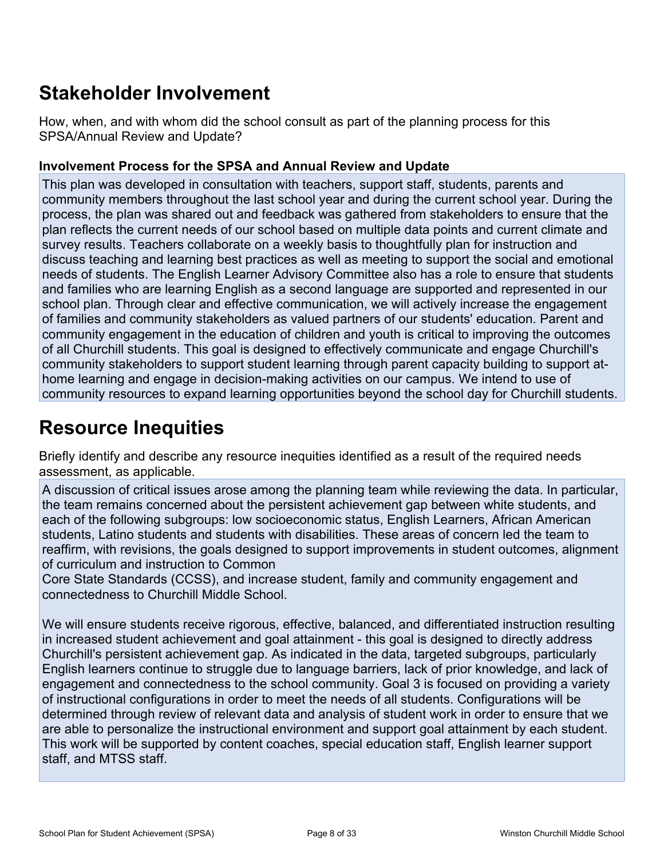# **Stakeholder Involvement**

How, when, and with whom did the school consult as part of the planning process for this SPSA/Annual Review and Update?

#### **Involvement Process for the SPSA and Annual Review and Update**

This plan was developed in consultation with teachers, support staff, students, parents and community members throughout the last school year and during the current school year. During the process, the plan was shared out and feedback was gathered from stakeholders to ensure that the plan reflects the current needs of our school based on multiple data points and current climate and survey results. Teachers collaborate on a weekly basis to thoughtfully plan for instruction and discuss teaching and learning best practices as well as meeting to support the social and emotional needs of students. The English Learner Advisory Committee also has a role to ensure that students and families who are learning English as a second language are supported and represented in our school plan. Through clear and effective communication, we will actively increase the engagement of families and community stakeholders as valued partners of our students' education. Parent and community engagement in the education of children and youth is critical to improving the outcomes of all Churchill students. This goal is designed to effectively communicate and engage Churchill's community stakeholders to support student learning through parent capacity building to support athome learning and engage in decision-making activities on our campus. We intend to use of community resources to expand learning opportunities beyond the school day for Churchill students.

# **Resource Inequities**

Briefly identify and describe any resource inequities identified as a result of the required needs assessment, as applicable.

A discussion of critical issues arose among the planning team while reviewing the data. In particular, the team remains concerned about the persistent achievement gap between white students, and each of the following subgroups: low socioeconomic status, English Learners, African American students, Latino students and students with disabilities. These areas of concern led the team to reaffirm, with revisions, the goals designed to support improvements in student outcomes, alignment of curriculum and instruction to Common

Core State Standards (CCSS), and increase student, family and community engagement and connectedness to Churchill Middle School.

We will ensure students receive rigorous, effective, balanced, and differentiated instruction resulting in increased student achievement and goal attainment - this goal is designed to directly address Churchill's persistent achievement gap. As indicated in the data, targeted subgroups, particularly English learners continue to struggle due to language barriers, lack of prior knowledge, and lack of engagement and connectedness to the school community. Goal 3 is focused on providing a variety of instructional configurations in order to meet the needs of all students. Configurations will be determined through review of relevant data and analysis of student work in order to ensure that we are able to personalize the instructional environment and support goal attainment by each student. This work will be supported by content coaches, special education staff, English learner support staff, and MTSS staff.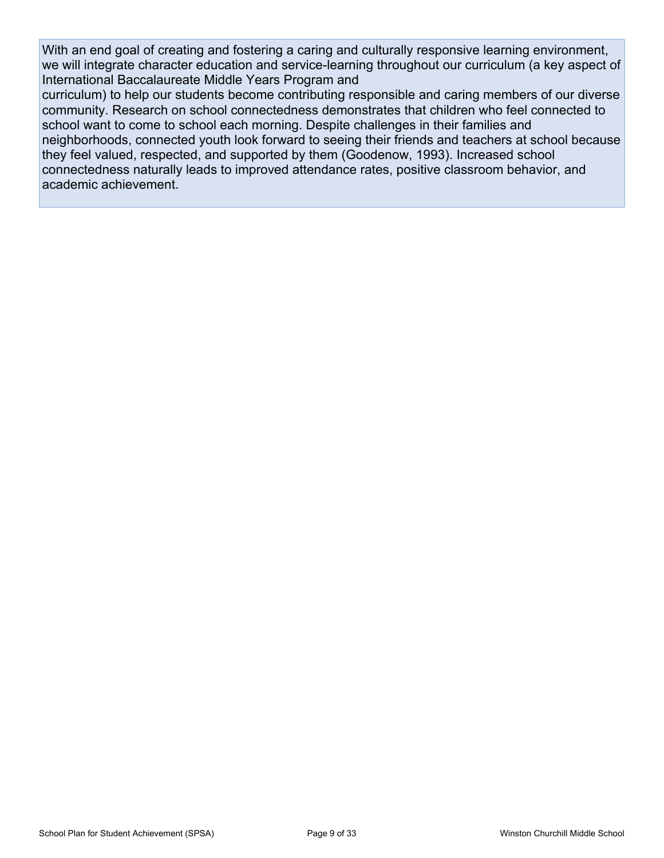With an end goal of creating and fostering a caring and culturally responsive learning environment, we will integrate character education and service-learning throughout our curriculum (a key aspect of International Baccalaureate Middle Years Program and

curriculum) to help our students become contributing responsible and caring members of our diverse community. Research on school connectedness demonstrates that children who feel connected to school want to come to school each morning. Despite challenges in their families and neighborhoods, connected youth look forward to seeing their friends and teachers at school because they feel valued, respected, and supported by them (Goodenow, 1993). Increased school connectedness naturally leads to improved attendance rates, positive classroom behavior, and academic achievement.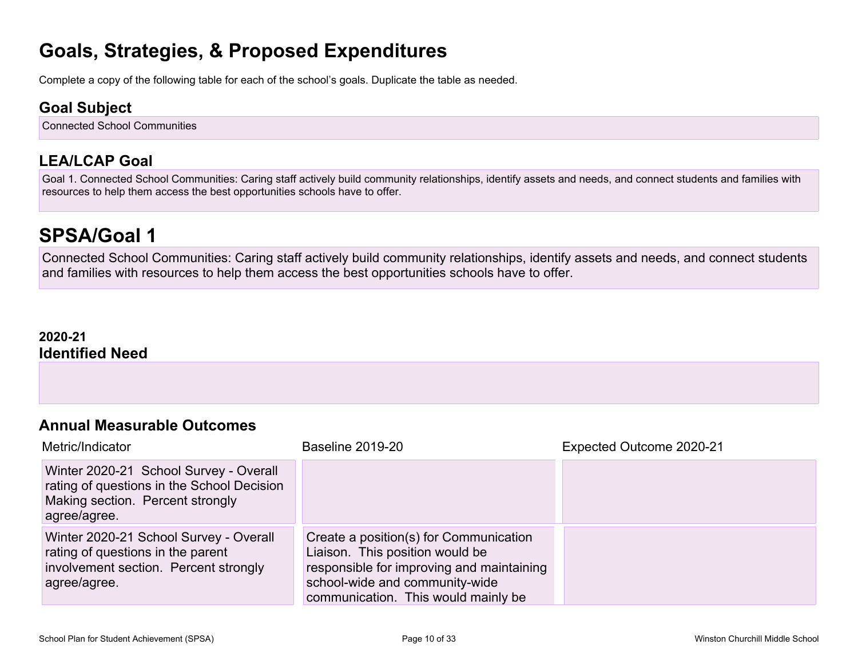### **Goals, Strategies, & Proposed Expenditures**

Complete a copy of the following table for each of the school's goals. Duplicate the table as needed.

#### **Goal Subject**

Connected School Communities

### **LEA/LCAP Goal**

Goal 1. Connected School Communities: Caring staff actively build community relationships, identify assets and needs, and connect students and families with resources to help them access the best opportunities schools have to offer.

### **SPSA/Goal 1**

Connected School Communities: Caring staff actively build community relationships, identify assets and needs, and connect students and families with resources to help them access the best opportunities schools have to offer.

#### **2020-21 Identified Need**

### **Annual Measurable Outcomes**

| Metric/Indicator                                                                                                                         | <b>Baseline 2019-20</b>                                                                                                                                                                         | Expected Outcome 2020-21 |
|------------------------------------------------------------------------------------------------------------------------------------------|-------------------------------------------------------------------------------------------------------------------------------------------------------------------------------------------------|--------------------------|
| Winter 2020-21 School Survey - Overall<br>rating of questions in the School Decision<br>Making section. Percent strongly<br>agree/agree. |                                                                                                                                                                                                 |                          |
| Winter 2020-21 School Survey - Overall<br>rating of questions in the parent<br>involvement section. Percent strongly<br>agree/agree.     | Create a position(s) for Communication<br>Liaison. This position would be<br>responsible for improving and maintaining<br>school-wide and community-wide<br>communication. This would mainly be |                          |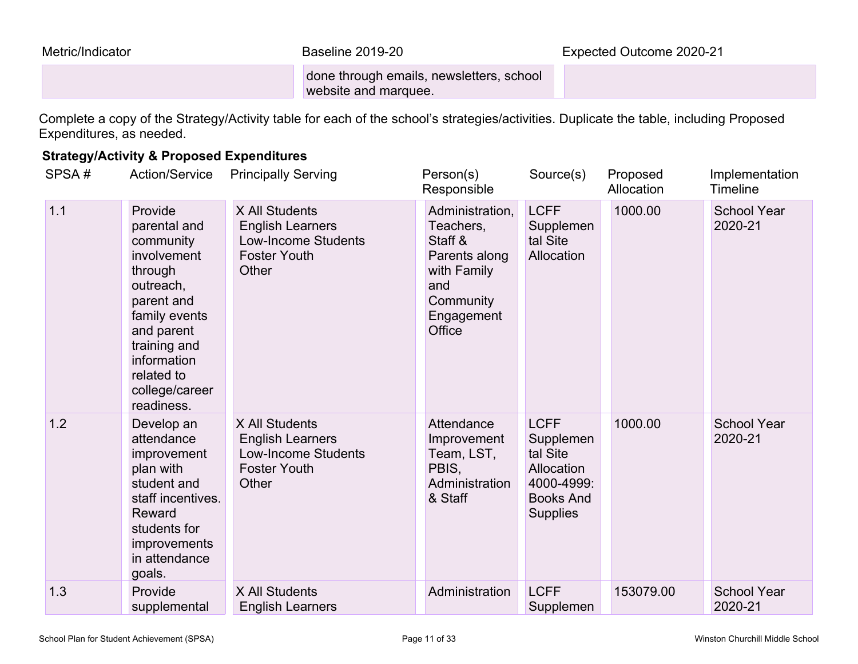done through emails, newsletters, school website and marquee.

Complete a copy of the Strategy/Activity table for each of the school's strategies/activities. Duplicate the table, including Proposed Expenditures, as needed.

#### **Strategy/Activity & Proposed Expenditures**

| SPSA# | <b>Action/Service</b>                                                                                                                                                                                 | <b>Principally Serving</b>                                                                              | Person(s)<br>Responsible                                                                                            | Source(s)                                                                                               | Proposed<br>Allocation | Implementation<br>Timeline    |
|-------|-------------------------------------------------------------------------------------------------------------------------------------------------------------------------------------------------------|---------------------------------------------------------------------------------------------------------|---------------------------------------------------------------------------------------------------------------------|---------------------------------------------------------------------------------------------------------|------------------------|-------------------------------|
| 1.1   | Provide<br>parental and<br>community<br>involvement<br>through<br>outreach,<br>parent and<br>family events<br>and parent<br>training and<br>information<br>related to<br>college/career<br>readiness. | X All Students<br><b>English Learners</b><br><b>Low-Income Students</b><br><b>Foster Youth</b><br>Other | Administration,<br>Teachers,<br>Staff &<br>Parents along<br>with Family<br>and<br>Community<br>Engagement<br>Office | <b>LCFF</b><br>Supplemen<br>tal Site<br>Allocation                                                      | 1000.00                | <b>School Year</b><br>2020-21 |
| 1.2   | Develop an<br>attendance<br>improvement<br>plan with<br>student and<br>staff incentives.<br>Reward<br>students for<br>improvements<br>in attendance<br>goals.                                         | X All Students<br><b>English Learners</b><br><b>Low-Income Students</b><br><b>Foster Youth</b><br>Other | Attendance<br>Improvement<br>Team, LST,<br>PBIS,<br>Administration<br>& Staff                                       | <b>LCFF</b><br>Supplemen<br>tal Site<br>Allocation<br>4000-4999:<br><b>Books And</b><br><b>Supplies</b> | 1000.00                | <b>School Year</b><br>2020-21 |
| 1.3   | Provide<br>supplemental                                                                                                                                                                               | X All Students<br><b>English Learners</b>                                                               | Administration                                                                                                      | <b>LCFF</b><br>Supplemen                                                                                | 153079.00              | <b>School Year</b><br>2020-21 |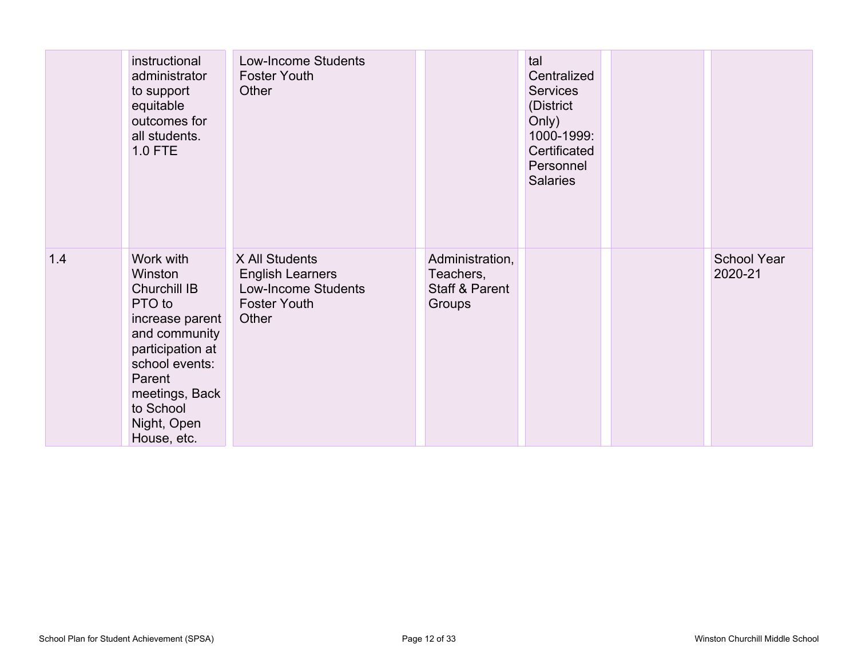|     | instructional<br>administrator<br>to support<br>equitable<br>outcomes for<br>all students.<br><b>1.0 FTE</b>                                                                                    | <b>Low-Income Students</b><br><b>Foster Youth</b><br>Other                                              |                                                          | tal<br>Centralized<br><b>Services</b><br>(District<br>Only)<br>1000-1999:<br>Certificated<br>Personnel<br><b>Salaries</b> |                               |
|-----|-------------------------------------------------------------------------------------------------------------------------------------------------------------------------------------------------|---------------------------------------------------------------------------------------------------------|----------------------------------------------------------|---------------------------------------------------------------------------------------------------------------------------|-------------------------------|
| 1.4 | Work with<br>Winston<br>Churchill IB<br>PTO to<br>increase parent<br>and community<br>participation at<br>school events:<br>Parent<br>meetings, Back<br>to School<br>Night, Open<br>House, etc. | X All Students<br><b>English Learners</b><br><b>Low-Income Students</b><br><b>Foster Youth</b><br>Other | Administration,<br>Teachers,<br>Staff & Parent<br>Groups |                                                                                                                           | <b>School Year</b><br>2020-21 |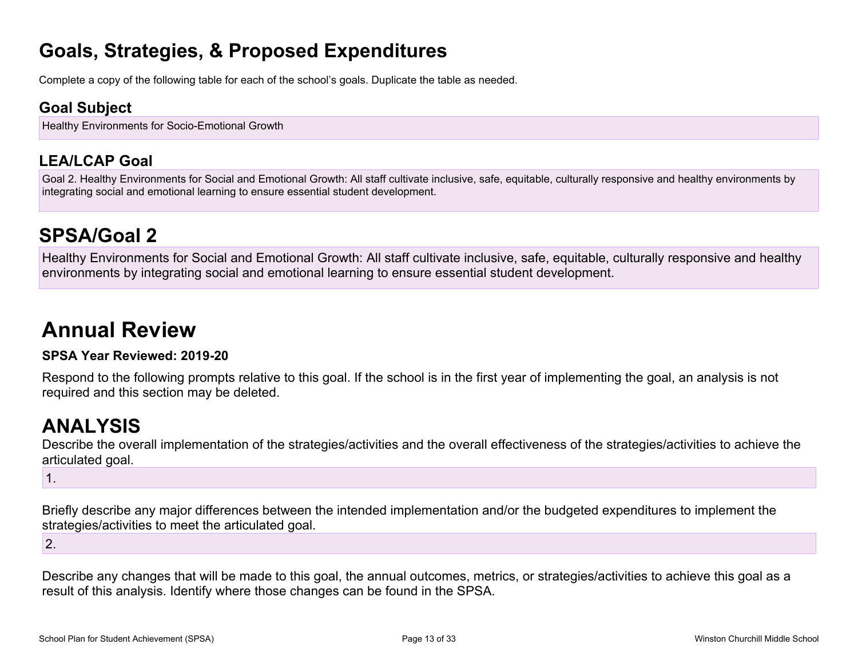### **Goals, Strategies, & Proposed Expenditures**

Complete a copy of the following table for each of the school's goals. Duplicate the table as needed.

### **Goal Subject**

Healthy Environments for Socio-Emotional Growth

### **LEA/LCAP Goal**

Goal 2. Healthy Environments for Social and Emotional Growth: All staff cultivate inclusive, safe, equitable, culturally responsive and healthy environments by integrating social and emotional learning to ensure essential student development.

# **SPSA/Goal 2**

Healthy Environments for Social and Emotional Growth: All staff cultivate inclusive, safe, equitable, culturally responsive and healthy environments by integrating social and emotional learning to ensure essential student development.

# **Annual Review**

#### **SPSA Year Reviewed: 2019-20**

Respond to the following prompts relative to this goal. If the school is in the first year of implementing the goal, an analysis is not required and this section may be deleted.

## **ANALYSIS**

Describe the overall implementation of the strategies/activities and the overall effectiveness of the strategies/activities to achieve the articulated goal.

1.

Briefly describe any major differences between the intended implementation and/or the budgeted expenditures to implement the strategies/activities to meet the articulated goal.

2.

Describe any changes that will be made to this goal, the annual outcomes, metrics, or strategies/activities to achieve this goal as a result of this analysis. Identify where those changes can be found in the SPSA.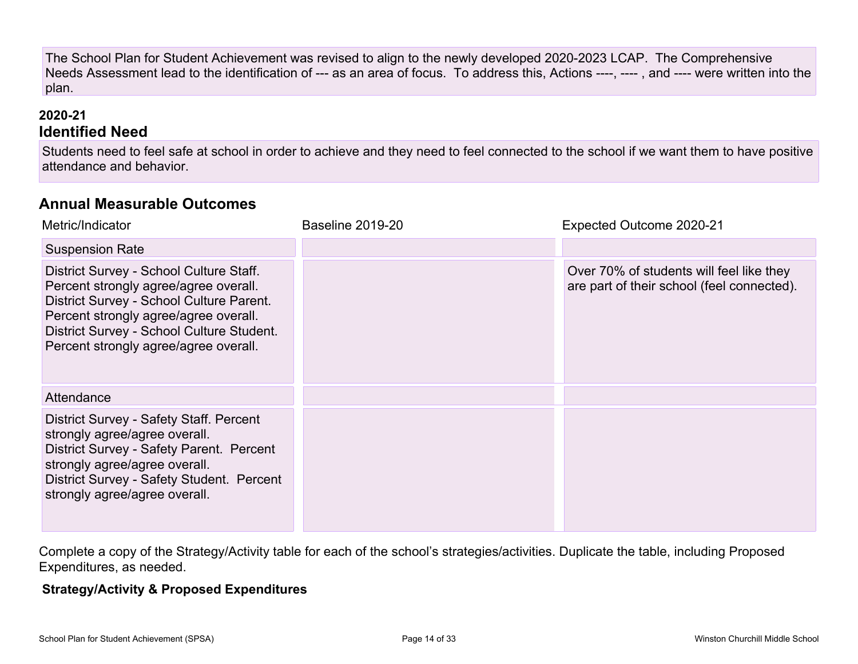The School Plan for Student Achievement was revised to align to the newly developed 2020-2023 LCAP. The Comprehensive Needs Assessment lead to the identification of --- as an area of focus. To address this, Actions ----, ---- , and ---- were written into the plan.

#### **2020-21 Identified Need**

Students need to feel safe at school in order to achieve and they need to feel connected to the school if we want them to have positive attendance and behavior.

### **Annual Measurable Outcomes**

| Metric/Indicator                                                                                                                                                                                                                                            | <b>Baseline 2019-20</b> | Expected Outcome 2020-21                                                               |
|-------------------------------------------------------------------------------------------------------------------------------------------------------------------------------------------------------------------------------------------------------------|-------------------------|----------------------------------------------------------------------------------------|
| <b>Suspension Rate</b>                                                                                                                                                                                                                                      |                         |                                                                                        |
| District Survey - School Culture Staff.<br>Percent strongly agree/agree overall.<br>District Survey - School Culture Parent.<br>Percent strongly agree/agree overall.<br>District Survey - School Culture Student.<br>Percent strongly agree/agree overall. |                         | Over 70% of students will feel like they<br>are part of their school (feel connected). |
| Attendance                                                                                                                                                                                                                                                  |                         |                                                                                        |
| District Survey - Safety Staff. Percent<br>strongly agree/agree overall.<br>District Survey - Safety Parent. Percent<br>strongly agree/agree overall.<br>District Survey - Safety Student. Percent<br>strongly agree/agree overall.                         |                         |                                                                                        |

Complete a copy of the Strategy/Activity table for each of the school's strategies/activities. Duplicate the table, including Proposed Expenditures, as needed.

#### **Strategy/Activity & Proposed Expenditures**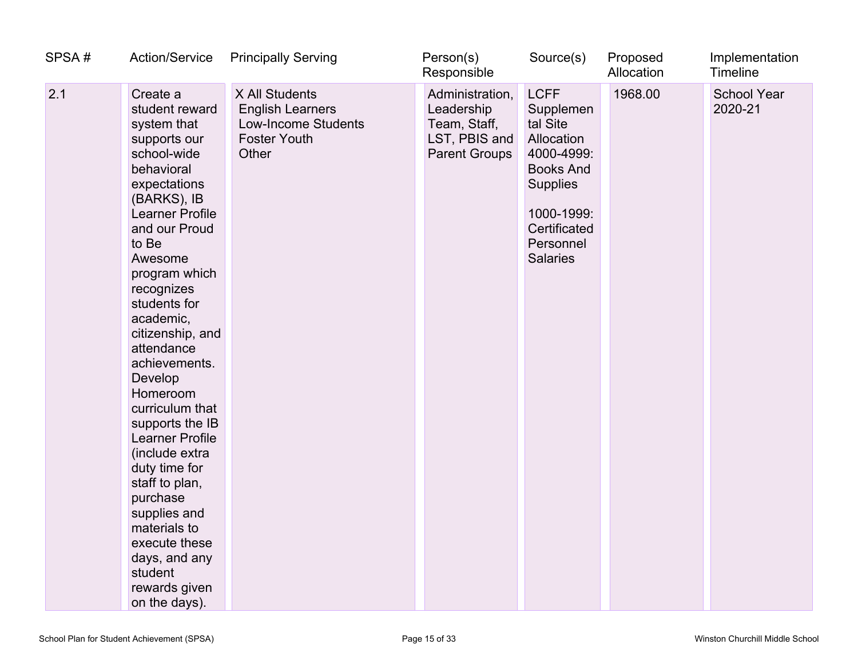| SPSA# | <b>Action/Service</b>                                                                                                                                                                                                                                                                                                                                                                                                                                                                                                                                                      | <b>Principally Serving</b>                                                                              | Person(s)<br>Responsible                                                               | Source(s)                                                                                                                                                             | Proposed<br>Allocation | Implementation<br>Timeline    |
|-------|----------------------------------------------------------------------------------------------------------------------------------------------------------------------------------------------------------------------------------------------------------------------------------------------------------------------------------------------------------------------------------------------------------------------------------------------------------------------------------------------------------------------------------------------------------------------------|---------------------------------------------------------------------------------------------------------|----------------------------------------------------------------------------------------|-----------------------------------------------------------------------------------------------------------------------------------------------------------------------|------------------------|-------------------------------|
| 2.1   | Create a<br>student reward<br>system that<br>supports our<br>school-wide<br>behavioral<br>expectations<br>(BARKS), IB<br><b>Learner Profile</b><br>and our Proud<br>to Be<br>Awesome<br>program which<br>recognizes<br>students for<br>academic,<br>citizenship, and<br>attendance<br>achievements.<br>Develop<br>Homeroom<br>curriculum that<br>supports the IB<br><b>Learner Profile</b><br>(include extra<br>duty time for<br>staff to plan,<br>purchase<br>supplies and<br>materials to<br>execute these<br>days, and any<br>student<br>rewards given<br>on the days). | X All Students<br><b>English Learners</b><br><b>Low-Income Students</b><br><b>Foster Youth</b><br>Other | Administration,<br>Leadership<br>Team, Staff,<br>LST, PBIS and<br><b>Parent Groups</b> | <b>LCFF</b><br>Supplemen<br>tal Site<br>Allocation<br>4000-4999:<br><b>Books And</b><br><b>Supplies</b><br>1000-1999:<br>Certificated<br>Personnel<br><b>Salaries</b> | 1968.00                | <b>School Year</b><br>2020-21 |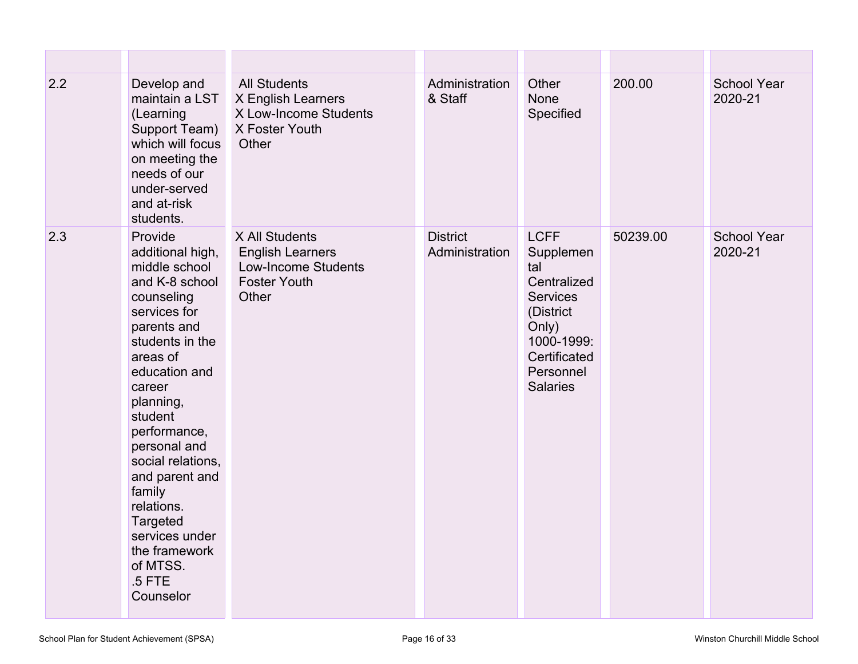| 2.2 | Develop and<br>maintain a LST<br>(Learning<br>Support Team)<br>which will focus<br>on meeting the<br>needs of our<br>under-served<br>and at-risk<br>students.                                                                                                                                                                                                                  | <b>All Students</b><br>X English Learners<br>X Low-Income Students<br>X Foster Youth<br>Other           | Administration<br>& Staff         | Other<br><b>None</b><br>Specified                                                                                                                     | 200.00   | <b>School Year</b><br>2020-21 |
|-----|--------------------------------------------------------------------------------------------------------------------------------------------------------------------------------------------------------------------------------------------------------------------------------------------------------------------------------------------------------------------------------|---------------------------------------------------------------------------------------------------------|-----------------------------------|-------------------------------------------------------------------------------------------------------------------------------------------------------|----------|-------------------------------|
| 2.3 | Provide<br>additional high,<br>middle school<br>and K-8 school<br>counseling<br>services for<br>parents and<br>students in the<br>areas of<br>education and<br>career<br>planning,<br>student<br>performance,<br>personal and<br>social relations,<br>and parent and<br>family<br>relations.<br>Targeted<br>services under<br>the framework<br>of MTSS.<br>.5 FTE<br>Counselor | X All Students<br><b>English Learners</b><br><b>Low-Income Students</b><br><b>Foster Youth</b><br>Other | <b>District</b><br>Administration | <b>LCFF</b><br>Supplemen<br>tal<br>Centralized<br><b>Services</b><br>(District<br>Only)<br>1000-1999:<br>Certificated<br>Personnel<br><b>Salaries</b> | 50239.00 | <b>School Year</b><br>2020-21 |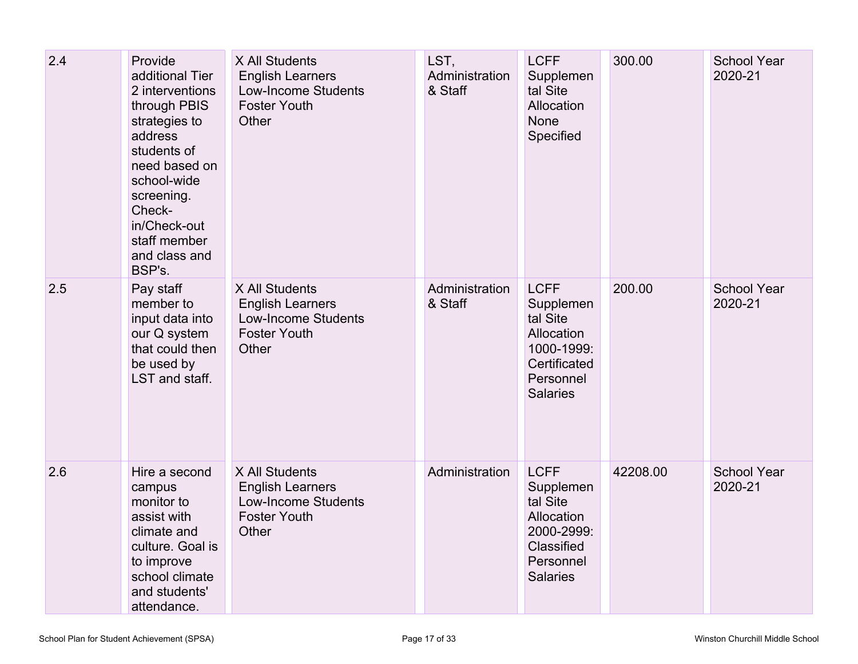| 2.4 | Provide<br>additional Tier<br>2 interventions<br>through PBIS<br>strategies to<br>address<br>students of<br>need based on<br>school-wide<br>screening.<br>Check-<br>in/Check-out<br>staff member<br>and class and<br>BSP's. | X All Students<br><b>English Learners</b><br><b>Low-Income Students</b><br><b>Foster Youth</b><br>Other | LST,<br>Administration<br>& Staff | <b>LCFF</b><br>Supplemen<br>tal Site<br>Allocation<br><b>None</b><br>Specified                                   | 300.00   | <b>School Year</b><br>2020-21 |
|-----|-----------------------------------------------------------------------------------------------------------------------------------------------------------------------------------------------------------------------------|---------------------------------------------------------------------------------------------------------|-----------------------------------|------------------------------------------------------------------------------------------------------------------|----------|-------------------------------|
| 2.5 | Pay staff<br>member to<br>input data into<br>our Q system<br>that could then<br>be used by<br>LST and staff.                                                                                                                | X All Students<br><b>English Learners</b><br><b>Low-Income Students</b><br><b>Foster Youth</b><br>Other | Administration<br>& Staff         | <b>LCFF</b><br>Supplemen<br>tal Site<br>Allocation<br>1000-1999:<br>Certificated<br>Personnel<br><b>Salaries</b> | 200.00   | <b>School Year</b><br>2020-21 |
| 2.6 | Hire a second<br>campus<br>monitor to<br>assist with<br>climate and<br>culture. Goal is<br>to improve<br>school climate<br>and students'<br>attendance.                                                                     | X All Students<br><b>English Learners</b><br><b>Low-Income Students</b><br><b>Foster Youth</b><br>Other | Administration                    | <b>LCFF</b><br>Supplemen<br>tal Site<br>Allocation<br>2000-2999:<br>Classified<br>Personnel<br><b>Salaries</b>   | 42208.00 | <b>School Year</b><br>2020-21 |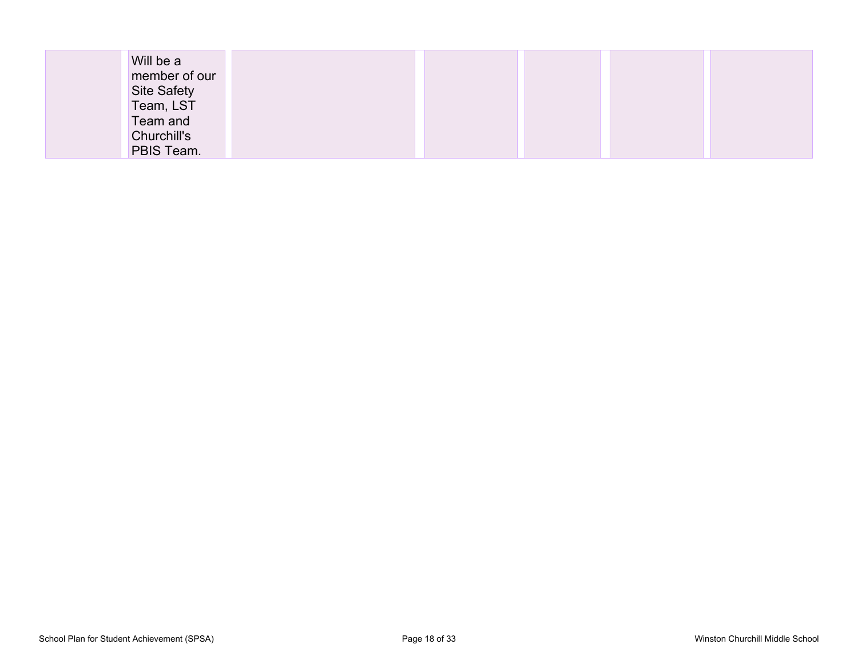| Will be a          |  |  |  |
|--------------------|--|--|--|
| member of our      |  |  |  |
| <b>Site Safety</b> |  |  |  |
| Team, LST          |  |  |  |
| Team and           |  |  |  |
| Churchill's        |  |  |  |
| PBIS Team.         |  |  |  |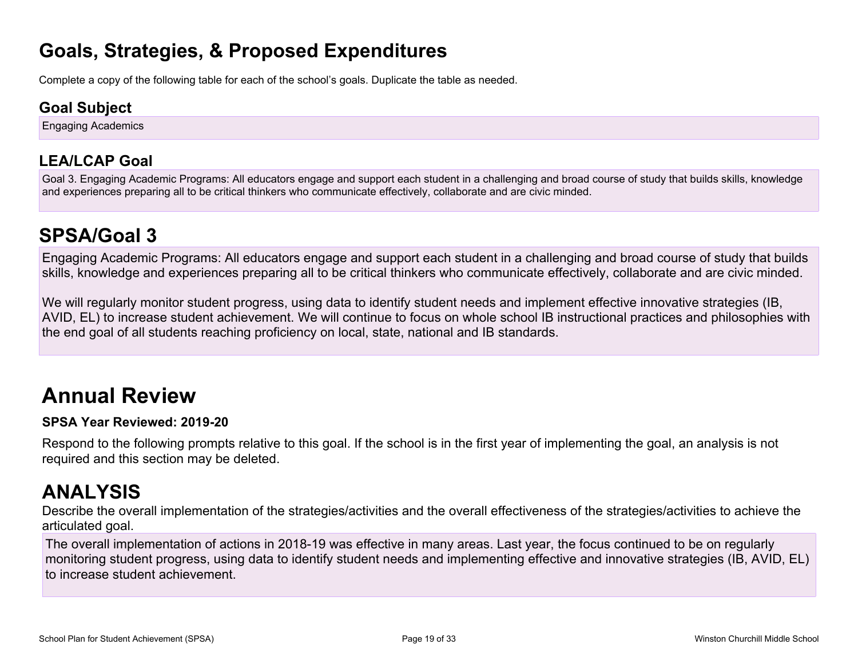### **Goals, Strategies, & Proposed Expenditures**

Complete a copy of the following table for each of the school's goals. Duplicate the table as needed.

### **Goal Subject**

Engaging Academics

### **LEA/LCAP Goal**

Goal 3. Engaging Academic Programs: All educators engage and support each student in a challenging and broad course of study that builds skills, knowledge and experiences preparing all to be critical thinkers who communicate effectively, collaborate and are civic minded.

# **SPSA/Goal 3**

Engaging Academic Programs: All educators engage and support each student in a challenging and broad course of study that builds skills, knowledge and experiences preparing all to be critical thinkers who communicate effectively, collaborate and are civic minded.

We will regularly monitor student progress, using data to identify student needs and implement effective innovative strategies (IB, AVID, EL) to increase student achievement. We will continue to focus on whole school IB instructional practices and philosophies with the end goal of all students reaching proficiency on local, state, national and IB standards.

# **Annual Review**

#### **SPSA Year Reviewed: 2019-20**

Respond to the following prompts relative to this goal. If the school is in the first year of implementing the goal, an analysis is not required and this section may be deleted.

# **ANALYSIS**

Describe the overall implementation of the strategies/activities and the overall effectiveness of the strategies/activities to achieve the articulated goal.

The overall implementation of actions in 2018-19 was effective in many areas. Last year, the focus continued to be on regularly monitoring student progress, using data to identify student needs and implementing effective and innovative strategies (IB, AVID, EL) to increase student achievement.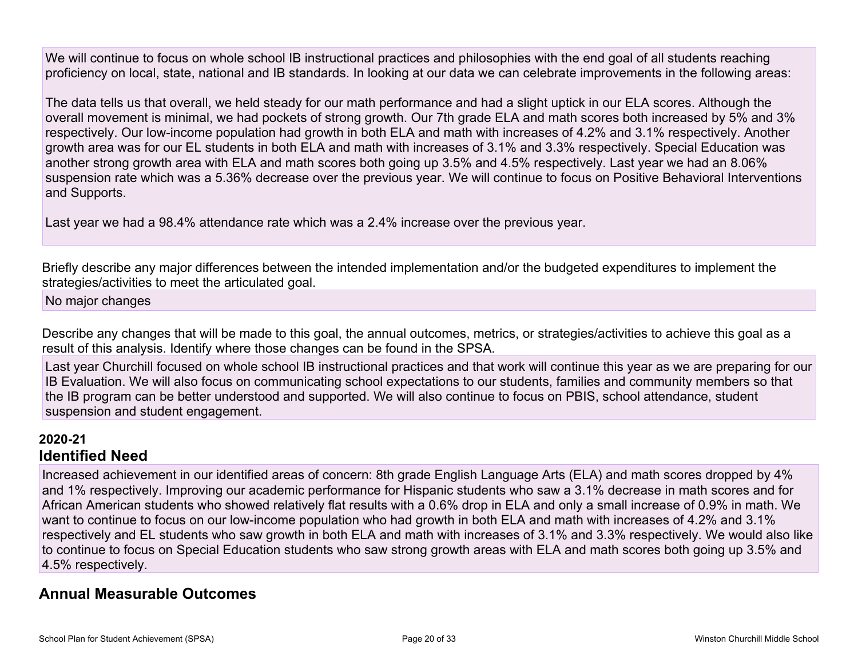We will continue to focus on whole school IB instructional practices and philosophies with the end goal of all students reaching proficiency on local, state, national and IB standards. In looking at our data we can celebrate improvements in the following areas:

The data tells us that overall, we held steady for our math performance and had a slight uptick in our ELA scores. Although the overall movement is minimal, we had pockets of strong growth. Our 7th grade ELA and math scores both increased by 5% and 3% respectively. Our low-income population had growth in both ELA and math with increases of 4.2% and 3.1% respectively. Another growth area was for our EL students in both ELA and math with increases of 3.1% and 3.3% respectively. Special Education was another strong growth area with ELA and math scores both going up 3.5% and 4.5% respectively. Last year we had an 8.06% suspension rate which was a 5.36% decrease over the previous year. We will continue to focus on Positive Behavioral Interventions and Supports.

Last year we had a 98.4% attendance rate which was a 2.4% increase over the previous year.

Briefly describe any major differences between the intended implementation and/or the budgeted expenditures to implement the strategies/activities to meet the articulated goal.

No major changes

Describe any changes that will be made to this goal, the annual outcomes, metrics, or strategies/activities to achieve this goal as a result of this analysis. Identify where those changes can be found in the SPSA.

Last year Churchill focused on whole school IB instructional practices and that work will continue this year as we are preparing for our IB Evaluation. We will also focus on communicating school expectations to our students, families and community members so that the IB program can be better understood and supported. We will also continue to focus on PBIS, school attendance, student suspension and student engagement.

#### **2020-21 Identified Need**

Increased achievement in our identified areas of concern: 8th grade English Language Arts (ELA) and math scores dropped by 4% and 1% respectively. Improving our academic performance for Hispanic students who saw a 3.1% decrease in math scores and for African American students who showed relatively flat results with a 0.6% drop in ELA and only a small increase of 0.9% in math. We want to continue to focus on our low-income population who had growth in both ELA and math with increases of 4.2% and 3.1% respectively and EL students who saw growth in both ELA and math with increases of 3.1% and 3.3% respectively. We would also like to continue to focus on Special Education students who saw strong growth areas with ELA and math scores both going up 3.5% and 4.5% respectively.

#### **Annual Measurable Outcomes**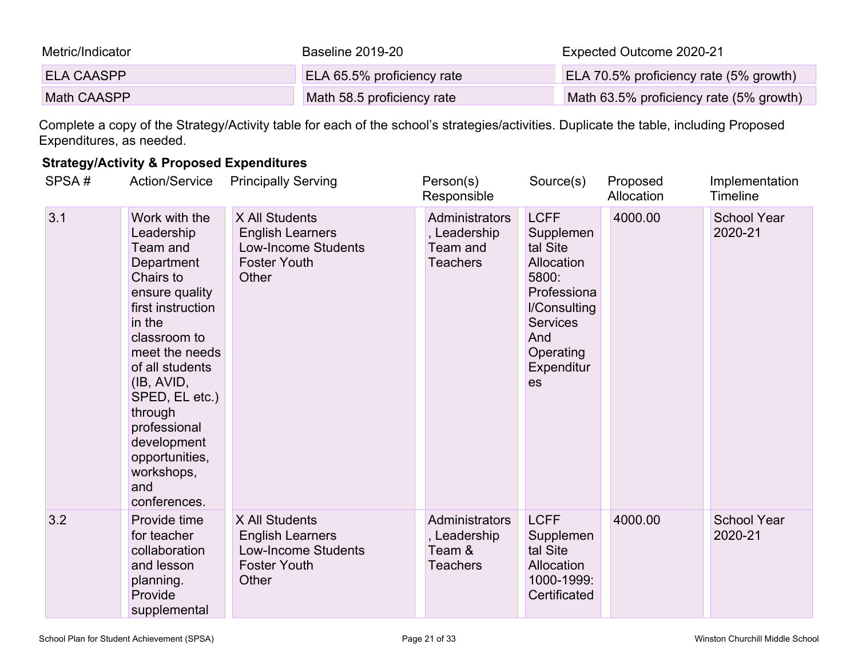| Metric/Indicator   | Baseline 2019-20           | Expected Outcome 2020-21                |
|--------------------|----------------------------|-----------------------------------------|
| <b>ELA CAASPP</b>  | ELA 65.5% proficiency rate | ELA 70.5% proficiency rate (5% growth)  |
| <b>Math CAASPP</b> | Math 58.5 proficiency rate | Math 63.5% proficiency rate (5% growth) |

Complete a copy of the Strategy/Activity table for each of the school's strategies/activities. Duplicate the table, including Proposed Expenditures, as needed.

#### **Strategy/Activity & Proposed Expenditures**

| SPSA# | <b>Action/Service</b>                                                                                                                                                                                                                                                                                     | <b>Principally Serving</b>                                                                              | Person(s)<br>Responsible                                      | Source(s)                                                                                                                                             | Proposed<br>Allocation | Implementation<br>Timeline    |
|-------|-----------------------------------------------------------------------------------------------------------------------------------------------------------------------------------------------------------------------------------------------------------------------------------------------------------|---------------------------------------------------------------------------------------------------------|---------------------------------------------------------------|-------------------------------------------------------------------------------------------------------------------------------------------------------|------------------------|-------------------------------|
| 3.1   | Work with the<br>Leadership<br>Team and<br>Department<br>Chairs to<br>ensure quality<br>first instruction<br>in the<br>classroom to<br>meet the needs<br>of all students<br>(IB, AVID,<br>SPED, EL etc.)<br>through<br>professional<br>development<br>opportunities,<br>workshops,<br>and<br>conferences. | X All Students<br><b>English Learners</b><br><b>Low-Income Students</b><br><b>Foster Youth</b><br>Other | Administrators<br>, Leadership<br>Team and<br><b>Teachers</b> | <b>LCFF</b><br>Supplemen<br>tal Site<br>Allocation<br>5800:<br>Professiona<br>I/Consulting<br><b>Services</b><br>And<br>Operating<br>Expenditur<br>es | 4000.00                | <b>School Year</b><br>2020-21 |
| 3.2   | Provide time<br>for teacher<br>collaboration<br>and lesson<br>planning.<br>Provide<br>supplemental                                                                                                                                                                                                        | X All Students<br><b>English Learners</b><br><b>Low-Income Students</b><br><b>Foster Youth</b><br>Other | Administrators<br>, Leadership<br>Team &<br><b>Teachers</b>   | <b>LCFF</b><br>Supplemen<br>tal Site<br>Allocation<br>1000-1999:<br>Certificated                                                                      | 4000.00                | <b>School Year</b><br>2020-21 |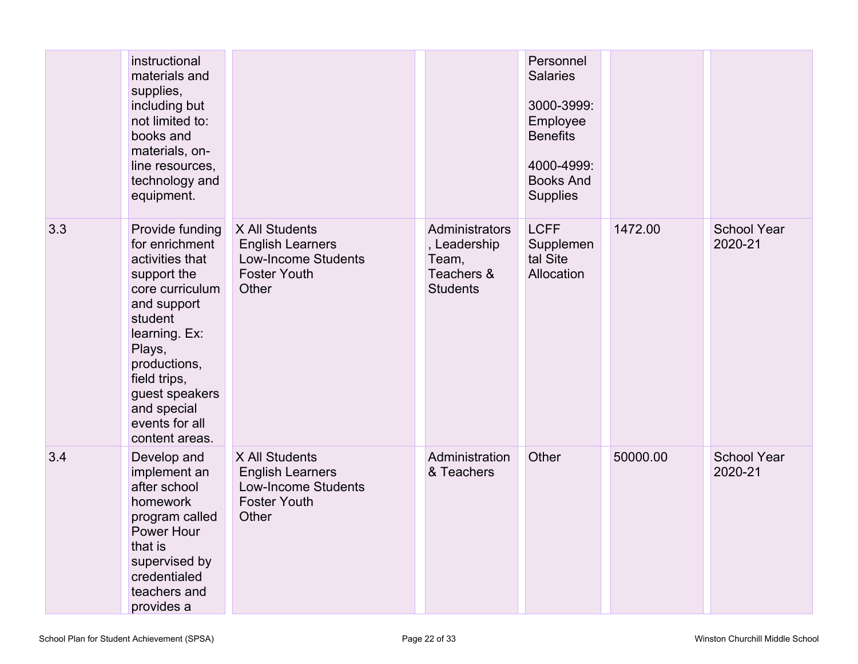|     | instructional<br>materials and<br>supplies,<br>including but<br>not limited to:<br>books and<br>materials, on-<br>line resources,<br>technology and<br>equipment.                                                                                |                                                                                                         |                                                                          | Personnel<br><b>Salaries</b><br>3000-3999:<br>Employee<br><b>Benefits</b><br>4000-4999:<br><b>Books And</b><br><b>Supplies</b> |          |                               |
|-----|--------------------------------------------------------------------------------------------------------------------------------------------------------------------------------------------------------------------------------------------------|---------------------------------------------------------------------------------------------------------|--------------------------------------------------------------------------|--------------------------------------------------------------------------------------------------------------------------------|----------|-------------------------------|
| 3.3 | Provide funding<br>for enrichment<br>activities that<br>support the<br>core curriculum<br>and support<br>student<br>learning. Ex:<br>Plays,<br>productions,<br>field trips,<br>guest speakers<br>and special<br>events for all<br>content areas. | X All Students<br><b>English Learners</b><br><b>Low-Income Students</b><br><b>Foster Youth</b><br>Other | Administrators<br>, Leadership<br>Team,<br>Teachers &<br><b>Students</b> | <b>LCFF</b><br>Supplemen<br>tal Site<br>Allocation                                                                             | 1472.00  | <b>School Year</b><br>2020-21 |
| 3.4 | Develop and<br>implement an<br>after school<br>homework<br>program called<br>Power Hour<br>that is<br>supervised by<br>credentialed<br>teachers and<br>provides a                                                                                | X All Students<br><b>English Learners</b><br><b>Low-Income Students</b><br><b>Foster Youth</b><br>Other | Administration<br>& Teachers                                             | Other                                                                                                                          | 50000.00 | <b>School Year</b><br>2020-21 |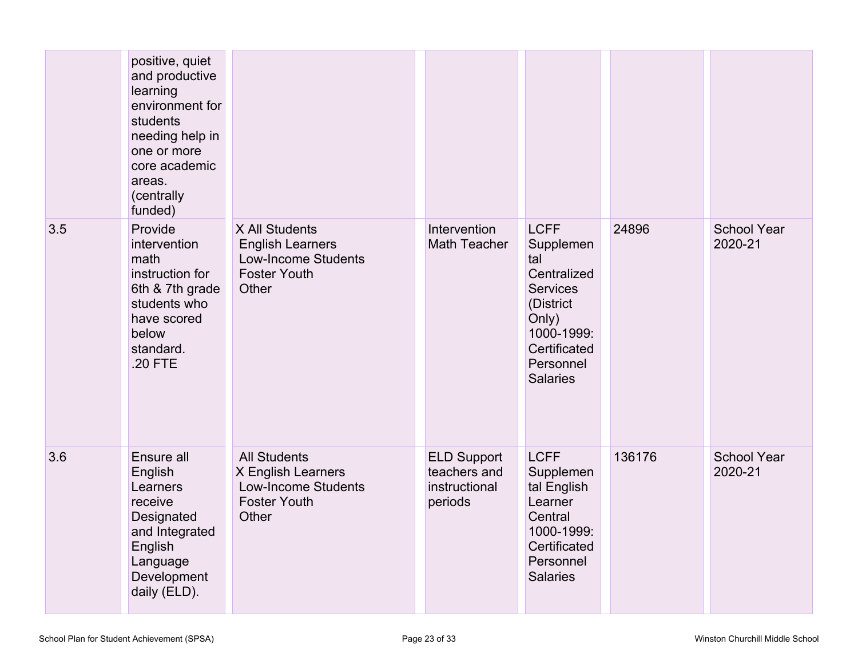|     | positive, quiet<br>and productive<br>learning<br>environment for<br>students<br>needing help in<br>one or more<br>core academic<br>areas.<br>(centrally<br>funded) |                                                                                                         |                                                                |                                                                                                                                                       |        |                               |
|-----|--------------------------------------------------------------------------------------------------------------------------------------------------------------------|---------------------------------------------------------------------------------------------------------|----------------------------------------------------------------|-------------------------------------------------------------------------------------------------------------------------------------------------------|--------|-------------------------------|
| 3.5 | Provide<br>intervention<br>math<br>instruction for<br>6th & 7th grade<br>students who<br>have scored<br>below<br>standard.<br>.20 FTE                              | X All Students<br><b>English Learners</b><br><b>Low-Income Students</b><br><b>Foster Youth</b><br>Other | Intervention<br>Math Teacher                                   | <b>LCFF</b><br>Supplemen<br>tal<br>Centralized<br><b>Services</b><br>(District<br>Only)<br>1000-1999:<br>Certificated<br>Personnel<br><b>Salaries</b> | 24896  | <b>School Year</b><br>2020-21 |
| 3.6 | Ensure all<br>English<br>Learners<br>receive<br>Designated<br>and Integrated<br>English<br>Language<br>Development<br>daily (ELD).                                 | <b>All Students</b><br>X English Learners<br><b>Low-Income Students</b><br><b>Foster Youth</b><br>Other | <b>ELD Support</b><br>teachers and<br>instructional<br>periods | <b>LCFF</b><br>Supplemen<br>tal English<br>Learner<br>Central<br>1000-1999:<br>Certificated<br>Personnel<br><b>Salaries</b>                           | 136176 | <b>School Year</b><br>2020-21 |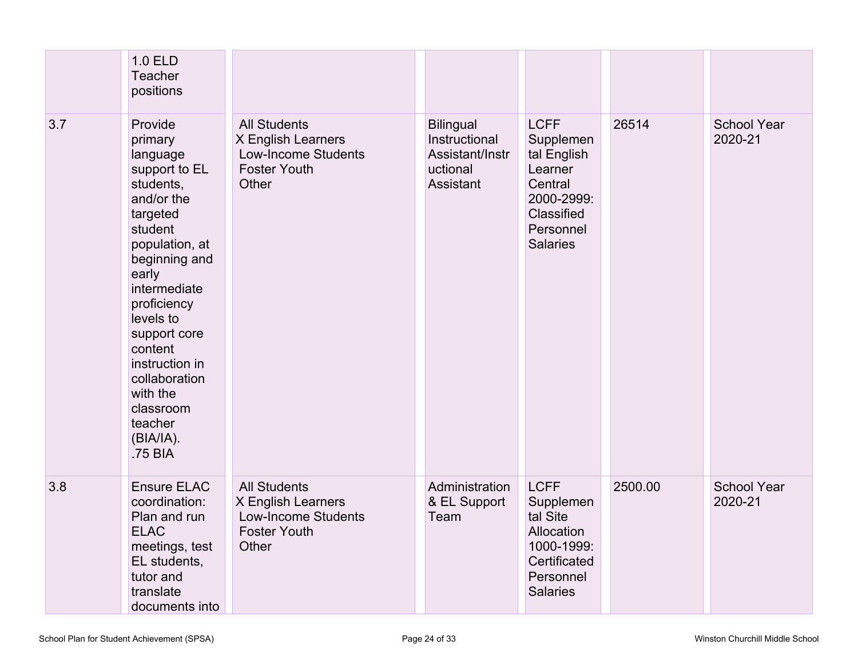|     | 1.0 ELD<br><b>Teacher</b><br>positions                                                                                                                                                                                                                                                                              |                                                                                                         |                                                                               |                                                                                                                           |         |                               |
|-----|---------------------------------------------------------------------------------------------------------------------------------------------------------------------------------------------------------------------------------------------------------------------------------------------------------------------|---------------------------------------------------------------------------------------------------------|-------------------------------------------------------------------------------|---------------------------------------------------------------------------------------------------------------------------|---------|-------------------------------|
| 3.7 | Provide<br>primary<br>language<br>support to EL<br>students,<br>and/or the<br>targeted<br>student<br>population, at<br>beginning and<br>early<br>intermediate<br>proficiency<br>levels to<br>support core<br>content<br>instruction in<br>collaboration<br>with the<br>classroom<br>teacher<br>(BIA/IA).<br>.75 BIA | <b>All Students</b><br>X English Learners<br><b>Low-Income Students</b><br><b>Foster Youth</b><br>Other | <b>Bilingual</b><br>Instructional<br>Assistant/Instr<br>uctional<br>Assistant | <b>LCFF</b><br>Supplemen<br>tal English<br>Learner<br>Central<br>2000-2999:<br>Classified<br>Personnel<br><b>Salaries</b> | 26514   | <b>School Year</b><br>2020-21 |
| 3.8 | <b>Ensure ELAC</b><br>coordination:<br>Plan and run<br><b>ELAC</b><br>meetings, test<br>EL students,<br>tutor and<br>translate<br>documents into                                                                                                                                                                    | <b>All Students</b><br>X English Learners<br><b>Low-Income Students</b><br><b>Foster Youth</b><br>Other | Administration<br>& EL Support<br>Team                                        | <b>LCFF</b><br>Supplemen<br>tal Site<br>Allocation<br>1000-1999:<br>Certificated<br>Personnel<br><b>Salaries</b>          | 2500.00 | <b>School Year</b><br>2020-21 |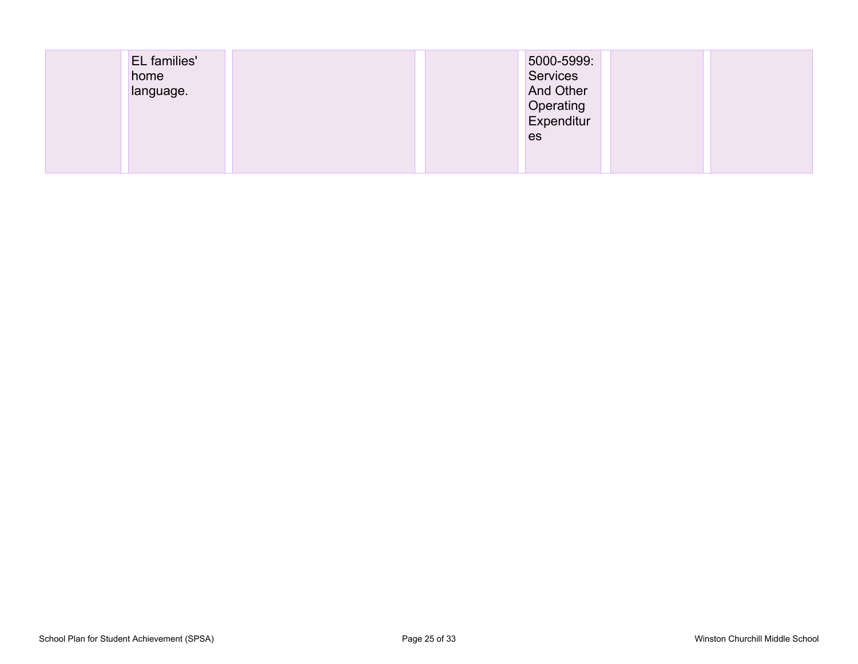| EL families'<br>home<br>language. | 5000-5999:<br><b>Services</b><br><b>And Other</b> |  |
|-----------------------------------|---------------------------------------------------|--|
|                                   | Operating<br>Expenditur                           |  |
|                                   | es                                                |  |
|                                   |                                                   |  |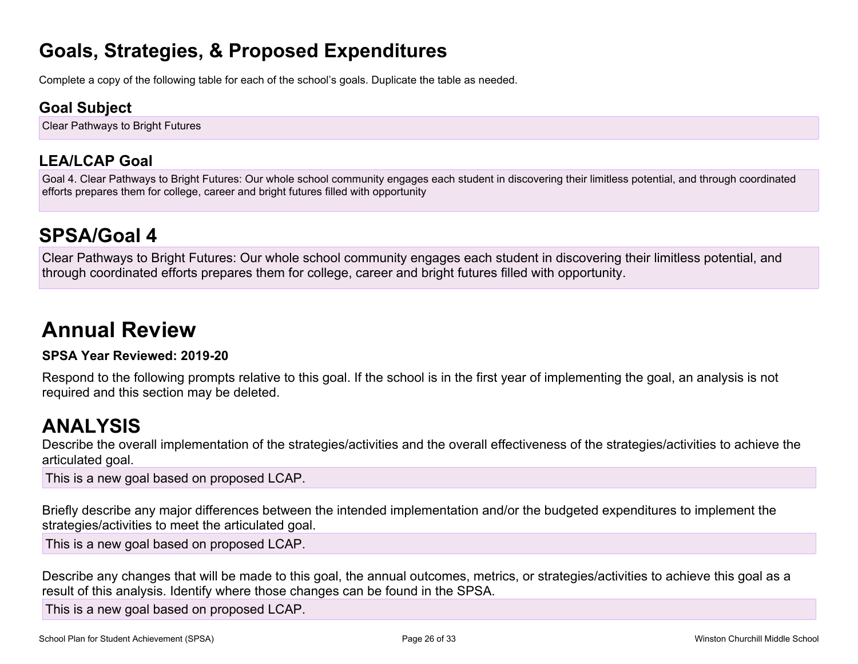### **Goals, Strategies, & Proposed Expenditures**

Complete a copy of the following table for each of the school's goals. Duplicate the table as needed.

### **Goal Subject**

Clear Pathways to Bright Futures

### **LEA/LCAP Goal**

Goal 4. Clear Pathways to Bright Futures: Our whole school community engages each student in discovering their limitless potential, and through coordinated efforts prepares them for college, career and bright futures filled with opportunity

# **SPSA/Goal 4**

Clear Pathways to Bright Futures: Our whole school community engages each student in discovering their limitless potential, and through coordinated efforts prepares them for college, career and bright futures filled with opportunity.

# **Annual Review**

#### **SPSA Year Reviewed: 2019-20**

Respond to the following prompts relative to this goal. If the school is in the first year of implementing the goal, an analysis is not required and this section may be deleted.

# **ANALYSIS**

Describe the overall implementation of the strategies/activities and the overall effectiveness of the strategies/activities to achieve the articulated goal.

This is a new goal based on proposed LCAP.

Briefly describe any major differences between the intended implementation and/or the budgeted expenditures to implement the strategies/activities to meet the articulated goal.

This is a new goal based on proposed LCAP.

Describe any changes that will be made to this goal, the annual outcomes, metrics, or strategies/activities to achieve this goal as a result of this analysis. Identify where those changes can be found in the SPSA.

This is a new goal based on proposed LCAP.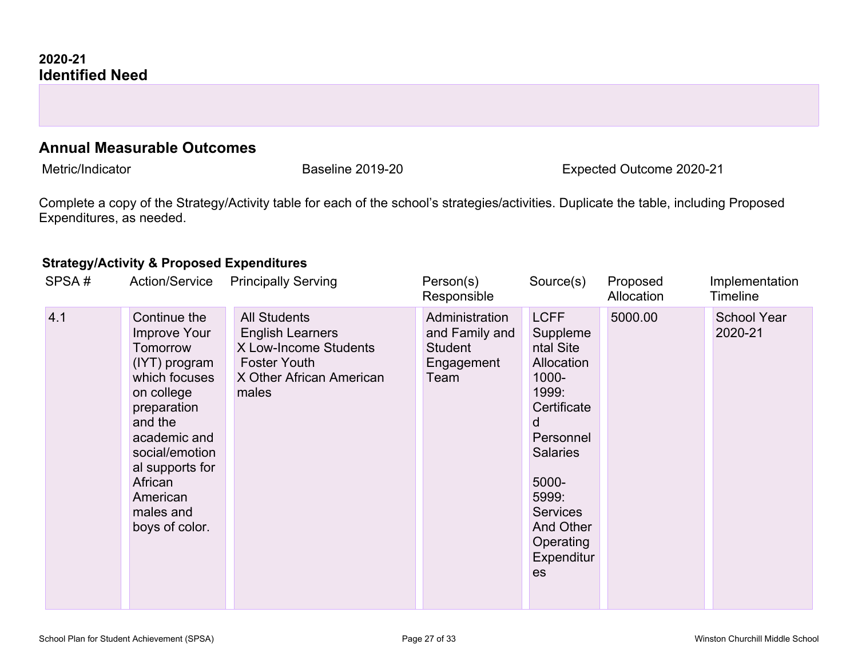#### **Annual Measurable Outcomes**

Metric/Indicator **Expected Outcome 2020-21** Baseline 2019-20 **Expected Outcome 2020-21** 

Complete a copy of the Strategy/Activity table for each of the school's strategies/activities. Duplicate the table, including Proposed Expenditures, as needed.

#### **Strategy/Activity & Proposed Expenditures**

| SPSA# | <b>Action/Service</b>                                                                                                                                                                                                         | <b>Principally Serving</b>                                                                                                          | Person(s)<br>Responsible                                          | Source(s)                                                                                                                                                                                                          | Proposed<br>Allocation | Implementation<br><b>Timeline</b> |
|-------|-------------------------------------------------------------------------------------------------------------------------------------------------------------------------------------------------------------------------------|-------------------------------------------------------------------------------------------------------------------------------------|-------------------------------------------------------------------|--------------------------------------------------------------------------------------------------------------------------------------------------------------------------------------------------------------------|------------------------|-----------------------------------|
| 4.1   | Continue the<br>Improve Your<br>Tomorrow<br>(IYT) program<br>which focuses<br>on college<br>preparation<br>and the<br>academic and<br>social/emotion<br>al supports for<br>African<br>American<br>males and<br>boys of color. | <b>All Students</b><br><b>English Learners</b><br>X Low-Income Students<br><b>Foster Youth</b><br>X Other African American<br>males | Administration<br>and Family and<br>Student<br>Engagement<br>Team | <b>LCFF</b><br>Suppleme<br>ntal Site<br>Allocation<br>1000-<br>1999:<br>Certificate<br>d<br>Personnel<br><b>Salaries</b><br>5000-<br>5999:<br><b>Services</b><br><b>And Other</b><br>Operating<br>Expenditur<br>es | 5000.00                | <b>School Year</b><br>2020-21     |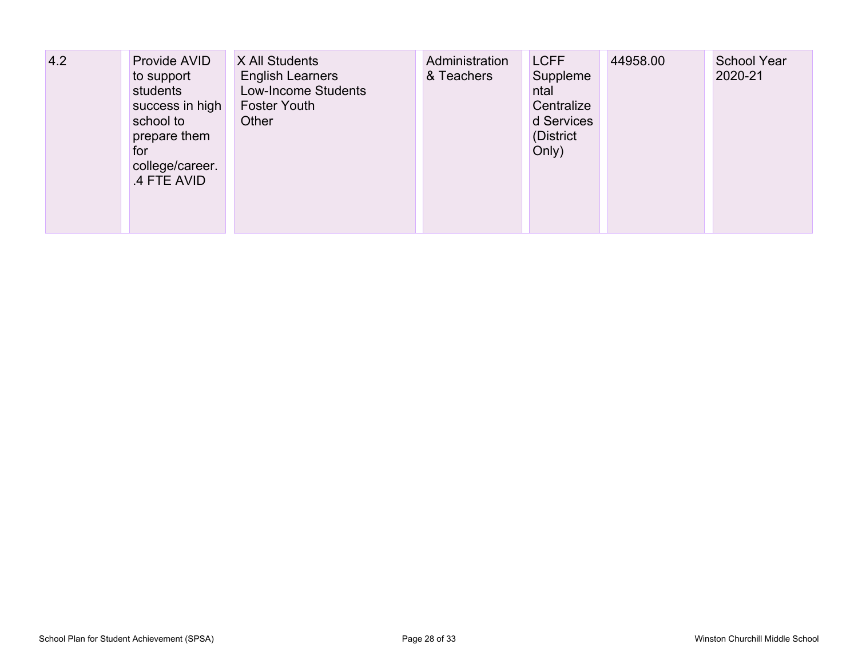| 4.2 | Provide AVID<br>to support<br>students<br>success in high<br>school to<br>prepare them<br>for<br>college/career.<br>.4 FTE AVID | X All Students<br><b>English Learners</b><br><b>Low-Income Students</b><br><b>Foster Youth</b><br>Other | Administration<br>& Teachers | <b>LCFF</b><br>Suppleme<br>ntal<br>Centralize<br>d Services<br>(District<br>Only) | 44958.00 | <b>School Year</b><br>2020-21 |
|-----|---------------------------------------------------------------------------------------------------------------------------------|---------------------------------------------------------------------------------------------------------|------------------------------|-----------------------------------------------------------------------------------|----------|-------------------------------|
|-----|---------------------------------------------------------------------------------------------------------------------------------|---------------------------------------------------------------------------------------------------------|------------------------------|-----------------------------------------------------------------------------------|----------|-------------------------------|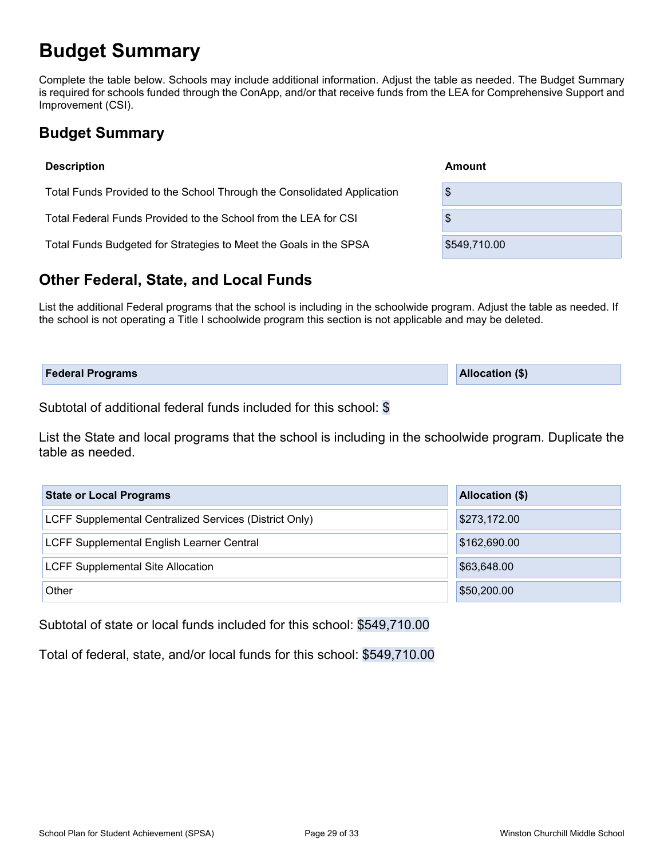# **Budget Summary**

Complete the table below. Schools may include additional information. Adjust the table as needed. The Budget Summary is required for schools funded through the ConApp, and/or that receive funds from the LEA for Comprehensive Support and Improvement (CSI).

### **Budget Summary**

| <b>Description</b>                                                      | Amount       |
|-------------------------------------------------------------------------|--------------|
| Total Funds Provided to the School Through the Consolidated Application | \$           |
| Total Federal Funds Provided to the School from the LEA for CSI         | \$           |
| Total Funds Budgeted for Strategies to Meet the Goals in the SPSA       | \$549,710.00 |

### **Other Federal, State, and Local Funds**

List the additional Federal programs that the school is including in the schoolwide program. Adjust the table as needed. If the school is not operating a Title I schoolwide program this section is not applicable and may be deleted.

| <b>Federal Programs</b> | <b>Allocation (\$)</b> |
|-------------------------|------------------------|
|                         |                        |

Subtotal of additional federal funds included for this school: \$

List the State and local programs that the school is including in the schoolwide program. Duplicate the table as needed.

| <b>State or Local Programs</b>                         | Allocation (\$) |
|--------------------------------------------------------|-----------------|
| LCFF Supplemental Centralized Services (District Only) | \$273,172.00    |
| LCFF Supplemental English Learner Central              | \$162,690.00    |
| <b>LCFF Supplemental Site Allocation</b>               | \$63,648.00     |
| Other                                                  | \$50,200.00     |

Subtotal of state or local funds included for this school: \$549,710.00

Total of federal, state, and/or local funds for this school: \$549,710.00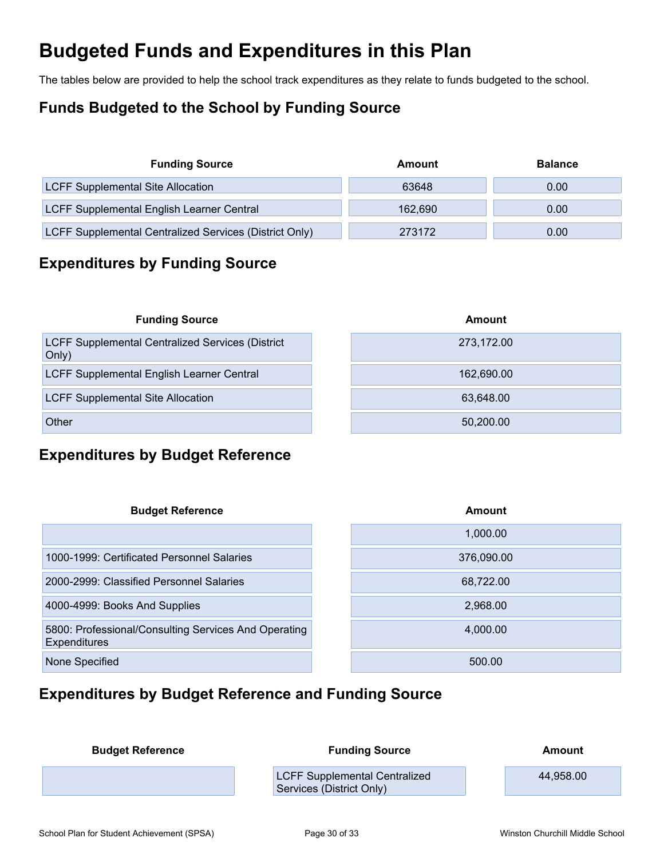# **Budgeted Funds and Expenditures in this Plan**

The tables below are provided to help the school track expenditures as they relate to funds budgeted to the school.

### **Funds Budgeted to the School by Funding Source**

| <b>Funding Source</b>                                  | Amount  | <b>Balance</b> |
|--------------------------------------------------------|---------|----------------|
| <b>LCFF Supplemental Site Allocation</b>               | 63648   | 0.00           |
| LCFF Supplemental English Learner Central              | 162.690 | 0.00           |
| LCFF Supplemental Centralized Services (District Only) | 273172  | 0.00           |

### **Expenditures by Funding Source**

| <b>Funding Source</b>                                            | Amount     |
|------------------------------------------------------------------|------------|
| <b>LCFF Supplemental Centralized Services (District</b><br>Only) | 273,172.00 |
| LCFF Supplemental English Learner Central                        | 162,690.00 |
| <b>LCFF Supplemental Site Allocation</b>                         | 63,648.00  |
| Other                                                            | 50,200.00  |

### **Expenditures by Budget Reference**

| <b>Budget Reference</b>                                                     | Amount     |
|-----------------------------------------------------------------------------|------------|
|                                                                             | 1,000.00   |
| 1000-1999: Certificated Personnel Salaries                                  | 376,090.00 |
| 2000-2999: Classified Personnel Salaries                                    | 68,722.00  |
| 4000-4999: Books And Supplies                                               | 2,968.00   |
| 5800: Professional/Consulting Services And Operating<br><b>Expenditures</b> | 4,000.00   |
| None Specified                                                              | 500.00     |

### **Expenditures by Budget Reference and Funding Source**

| <b>Budget Reference</b> | <b>Funding Source</b>                                            | Amount    |
|-------------------------|------------------------------------------------------------------|-----------|
|                         | <b>LCFF Supplemental Centralized</b><br>Services (District Only) | 44,958.00 |
|                         |                                                                  |           |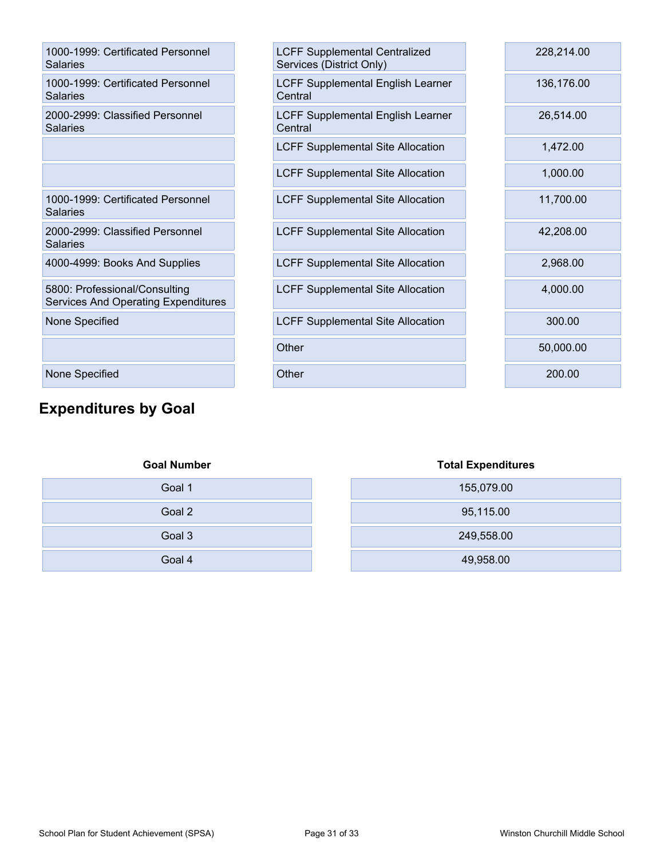| 1000-1999: Certificated Personnel<br><b>Salaries</b>                        |
|-----------------------------------------------------------------------------|
| 1000-1999: Certificated Personnel<br>Salaries                               |
| 2000-2999: Classified Personnel<br>Salaries                                 |
|                                                                             |
|                                                                             |
| 1000-1999: Certificated Personnel<br>Salaries                               |
| 2000-2999: Classified Personnel<br>Salaries                                 |
| 4000-4999: Books And Supplies                                               |
| 5800: Professional/Consulting<br><b>Services And Operating Expenditures</b> |
| None Specified                                                              |
|                                                                             |
| <b>None Specified</b>                                                       |

## **Expenditures by Goal**

| 1000-1999: Certificated Personnel<br>Salaries                               | <b>LCFF Supplemental Centralized</b><br>Services (District Only) | 228,214.00 |
|-----------------------------------------------------------------------------|------------------------------------------------------------------|------------|
| 1000-1999: Certificated Personnel<br>Salaries                               | <b>LCFF Supplemental English Learner</b><br>Central              | 136,176.00 |
| 2000-2999: Classified Personnel<br>Salaries                                 | <b>LCFF Supplemental English Learner</b><br>Central              | 26,514.00  |
|                                                                             | <b>LCFF Supplemental Site Allocation</b>                         | 1,472.00   |
|                                                                             | <b>LCFF Supplemental Site Allocation</b>                         | 1,000.00   |
| 1000-1999: Certificated Personnel<br><b>Salaries</b>                        | <b>LCFF Supplemental Site Allocation</b>                         | 11,700.00  |
| 2000-2999: Classified Personnel<br><b>Salaries</b>                          | <b>LCFF Supplemental Site Allocation</b>                         | 42,208.00  |
| 4000-4999: Books And Supplies                                               | <b>LCFF Supplemental Site Allocation</b>                         | 2,968.00   |
| 5800: Professional/Consulting<br><b>Services And Operating Expenditures</b> | <b>LCFF Supplemental Site Allocation</b>                         | 4,000.00   |
| None Specified                                                              | <b>LCFF Supplemental Site Allocation</b>                         | 300.00     |
|                                                                             | Other                                                            | 50,000.00  |
| None Specified                                                              | Other                                                            | 200.00     |
|                                                                             |                                                                  |            |

| <b>Goal Number</b> | <b>Total Expendit</b> |
|--------------------|-----------------------|
| Goal 1             | 155,079.00            |
| Goal 2             | 95,115.00             |
| Goal 3             | 249,558.00            |
| Goal 4             | 49,958.00             |

| <b>Total Expenditures</b> |  |  |  |
|---------------------------|--|--|--|
| 155,079.00                |  |  |  |
| 95,115.00                 |  |  |  |
| 249,558.00                |  |  |  |
| 49,958.00                 |  |  |  |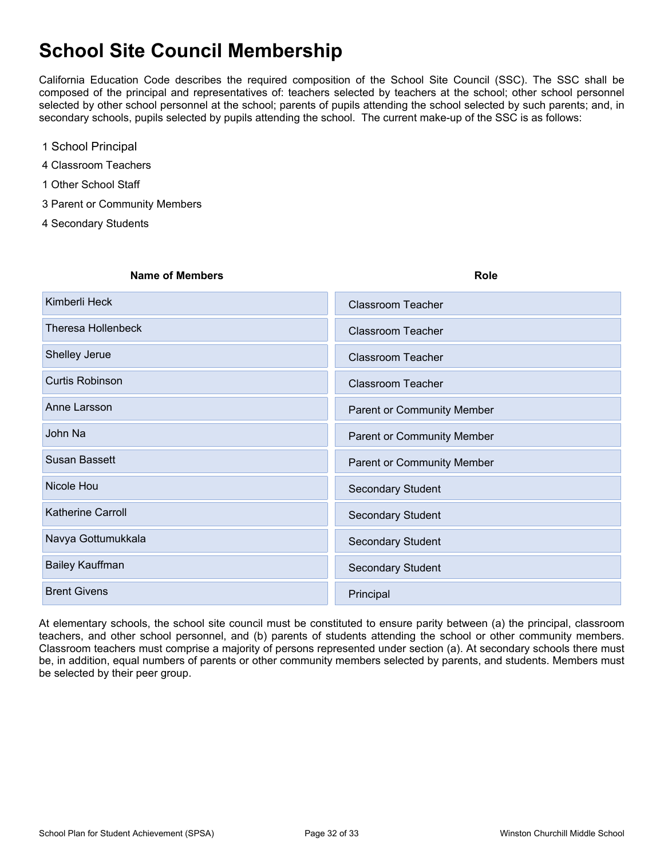# **School Site Council Membership**

California Education Code describes the required composition of the School Site Council (SSC). The SSC shall be composed of the principal and representatives of: teachers selected by teachers at the school; other school personnel selected by other school personnel at the school; parents of pupils attending the school selected by such parents; and, in secondary schools, pupils selected by pupils attending the school. The current make-up of the SSC is as follows:

- 1 School Principal
- 4 Classroom Teachers
- 1 Other School Staff
- 3 Parent or Community Members
- 4 Secondary Students

| <b>Name of Members</b> | <b>Role</b>                       |
|------------------------|-----------------------------------|
| Kimberli Heck          | <b>Classroom Teacher</b>          |
| Theresa Hollenbeck     | <b>Classroom Teacher</b>          |
| Shelley Jerue          | <b>Classroom Teacher</b>          |
| <b>Curtis Robinson</b> | <b>Classroom Teacher</b>          |
| Anne Larsson           | <b>Parent or Community Member</b> |
| John Na                | <b>Parent or Community Member</b> |
| Susan Bassett          | Parent or Community Member        |
| Nicole Hou             | <b>Secondary Student</b>          |
| Katherine Carroll      | <b>Secondary Student</b>          |
| Navya Gottumukkala     | <b>Secondary Student</b>          |
| Bailey Kauffman        | <b>Secondary Student</b>          |
| <b>Brent Givens</b>    | Principal                         |
|                        |                                   |

At elementary schools, the school site council must be constituted to ensure parity between (a) the principal, classroom teachers, and other school personnel, and (b) parents of students attending the school or other community members. Classroom teachers must comprise a majority of persons represented under section (a). At secondary schools there must be, in addition, equal numbers of parents or other community members selected by parents, and students. Members must be selected by their peer group.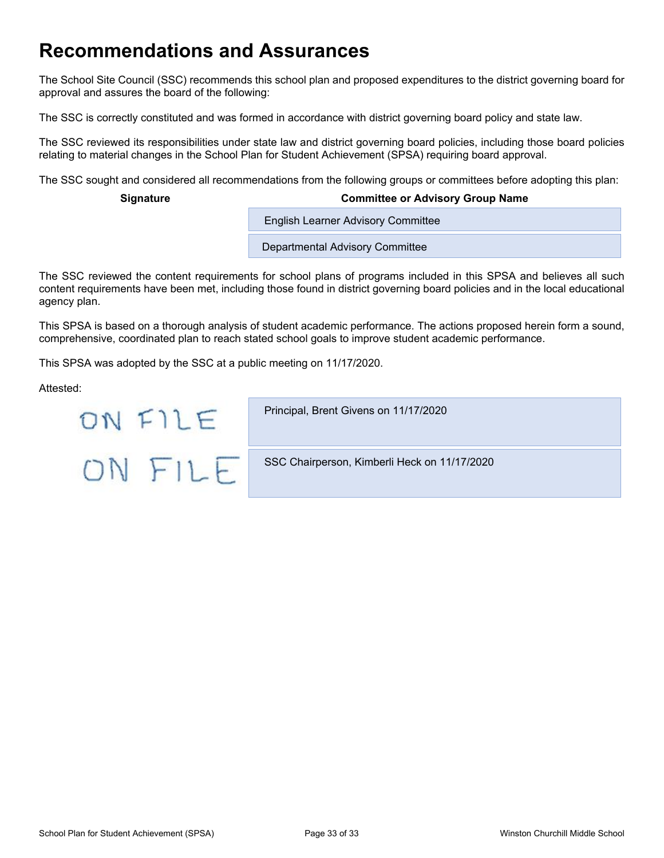# **Recommendations and Assurances**

The School Site Council (SSC) recommends this school plan and proposed expenditures to the district governing board for approval and assures the board of the following:

The SSC is correctly constituted and was formed in accordance with district governing board policy and state law.

The SSC reviewed its responsibilities under state law and district governing board policies, including those board policies relating to material changes in the School Plan for Student Achievement (SPSA) requiring board approval.

The SSC sought and considered all recommendations from the following groups or committees before adopting this plan:

#### **Signature Committee or Advisory Group Name**

**English Learner Advisory Committee** 

Departmental Advisory Committee

The SSC reviewed the content requirements for school plans of programs included in this SPSA and believes all such content requirements have been met, including those found in district governing board policies and in the local educational agency plan.

This SPSA is based on a thorough analysis of student academic performance. The actions proposed herein form a sound, comprehensive, coordinated plan to reach stated school goals to improve student academic performance.

This SPSA was adopted by the SSC at a public meeting on 11/17/2020.

Attested:

| ON EII F  | Principal, Brent Givens on 11/17/2020        |
|-----------|----------------------------------------------|
| $OM$ $H1$ | SSC Chairperson, Kimberli Heck on 11/17/2020 |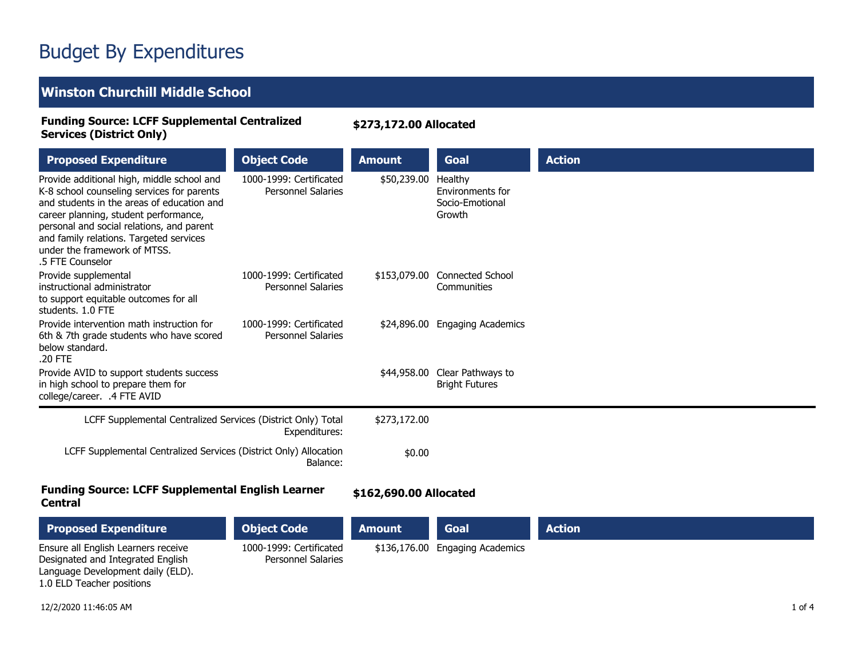# Budget By Expenditures

### **Winston Churchill Middle School**

#### **Funding Source: LCFF Supplemental Centralized Services (District Only)**

**\$273,172.00 Allocated**

| <b>Proposed Expenditure</b>                                                                                                                                                                                                                                                                                                 | <b>Object Code</b>                                   | <b>Amount</b>          | Goal                                                     | <b>Action</b> |
|-----------------------------------------------------------------------------------------------------------------------------------------------------------------------------------------------------------------------------------------------------------------------------------------------------------------------------|------------------------------------------------------|------------------------|----------------------------------------------------------|---------------|
| Provide additional high, middle school and<br>K-8 school counseling services for parents<br>and students in the areas of education and<br>career planning, student performance,<br>personal and social relations, and parent<br>and family relations. Targeted services<br>under the framework of MTSS.<br>.5 FTE Counselor | 1000-1999: Certificated<br><b>Personnel Salaries</b> | \$50,239.00            | Healthy<br>Environments for<br>Socio-Emotional<br>Growth |               |
| Provide supplemental<br>instructional administrator<br>to support equitable outcomes for all<br>students. 1.0 FTE                                                                                                                                                                                                           | 1000-1999: Certificated<br><b>Personnel Salaries</b> | \$153,079.00           | <b>Connected School</b><br>Communities                   |               |
| Provide intervention math instruction for<br>6th & 7th grade students who have scored<br>below standard.<br>.20 FTE                                                                                                                                                                                                         | 1000-1999: Certificated<br><b>Personnel Salaries</b> |                        | \$24,896.00 Engaging Academics                           |               |
| Provide AVID to support students success<br>in high school to prepare them for<br>college/career. .4 FTE AVID                                                                                                                                                                                                               |                                                      | \$44,958.00            | Clear Pathways to<br><b>Bright Futures</b>               |               |
| LCFF Supplemental Centralized Services (District Only) Total                                                                                                                                                                                                                                                                | Expenditures:                                        | \$273,172.00           |                                                          |               |
| LCFF Supplemental Centralized Services (District Only) Allocation                                                                                                                                                                                                                                                           | Balance:                                             | \$0.00                 |                                                          |               |
| <b>Funding Source: LCFF Supplemental English Learner</b><br>Central                                                                                                                                                                                                                                                         |                                                      | \$162,690.00 Allocated |                                                          |               |

| <b>Proposed Expenditure</b>                                              | <b>Object Code</b>                                   | <b>Amount</b> | <b>Goal</b>                     | <b>Action</b> |
|--------------------------------------------------------------------------|------------------------------------------------------|---------------|---------------------------------|---------------|
| Ensure all English Learners receive<br>Designated and Integrated English | 1000-1999: Certificated<br><b>Personnel Salaries</b> |               | \$136,176.00 Engaging Academics |               |
| Language Development daily (ELD).                                        |                                                      |               |                                 |               |
| 1.0 ELD Teacher positions                                                |                                                      |               |                                 |               |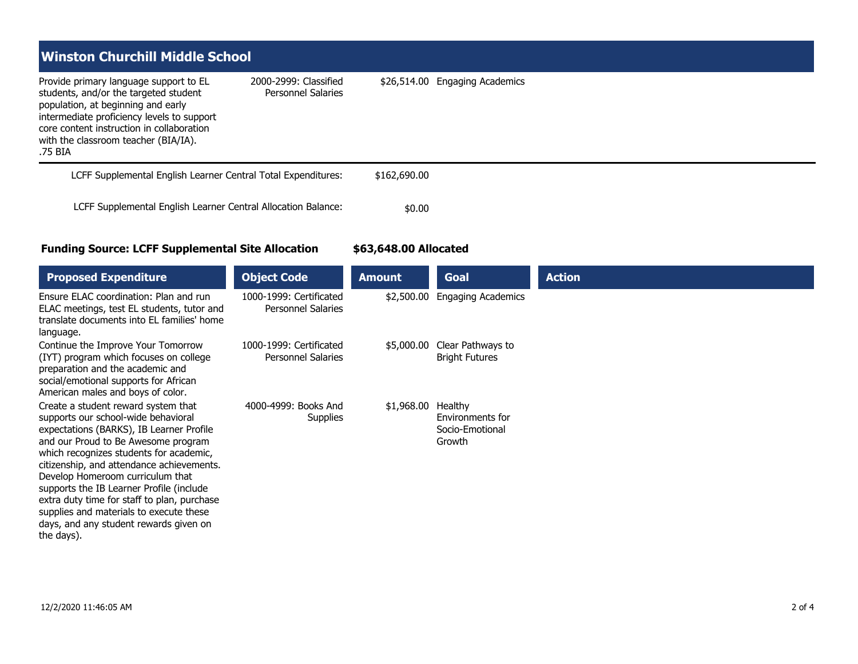| l Winston Churchill Middle School                                                                                                                                                                                                                                   |                                                    |                                |
|---------------------------------------------------------------------------------------------------------------------------------------------------------------------------------------------------------------------------------------------------------------------|----------------------------------------------------|--------------------------------|
| Provide primary language support to EL<br>students, and/or the targeted student<br>population, at beginning and early<br>intermediate proficiency levels to support<br>core content instruction in collaboration<br>with the classroom teacher (BIA/IA).<br>.75 BIA | 2000-2999: Classified<br><b>Personnel Salaries</b> | \$26,514.00 Engaging Academics |
| LCFF Supplemental English Learner Central Total Expenditures:                                                                                                                                                                                                       |                                                    | \$162,690.00                   |
| LCFF Supplemental English Learner Central Allocation Balance:                                                                                                                                                                                                       |                                                    | \$0.00                         |

#### **Funding Source: LCFF Supplemental Site Allocation**

**\$63,648.00 Allocated**

| <b>Proposed Expenditure</b>                                                                                                                                                                                                                                                                                                                                                                                                                                                             | <b>Object Code</b>                                   | <b>Amount</b> | Goal                                                     | <b>Action</b> |
|-----------------------------------------------------------------------------------------------------------------------------------------------------------------------------------------------------------------------------------------------------------------------------------------------------------------------------------------------------------------------------------------------------------------------------------------------------------------------------------------|------------------------------------------------------|---------------|----------------------------------------------------------|---------------|
| Ensure ELAC coordination: Plan and run<br>ELAC meetings, test EL students, tutor and<br>translate documents into EL families' home<br>language.                                                                                                                                                                                                                                                                                                                                         | 1000-1999: Certificated<br><b>Personnel Salaries</b> | \$2,500.00    | <b>Engaging Academics</b>                                |               |
| Continue the Improve Your Tomorrow<br>(IYT) program which focuses on college<br>preparation and the academic and<br>social/emotional supports for African<br>American males and boys of color.                                                                                                                                                                                                                                                                                          | 1000-1999: Certificated<br><b>Personnel Salaries</b> | \$5,000.00    | Clear Pathways to<br><b>Bright Futures</b>               |               |
| Create a student reward system that<br>supports our school-wide behavioral<br>expectations (BARKS), IB Learner Profile<br>and our Proud to Be Awesome program<br>which recognizes students for academic,<br>citizenship, and attendance achievements.<br>Develop Homeroom curriculum that<br>supports the IB Learner Profile (include<br>extra duty time for staff to plan, purchase<br>supplies and materials to execute these<br>days, and any student rewards given on<br>the days). | 4000-4999: Books And<br><b>Supplies</b>              | \$1,968.00    | Healthy<br>Environments for<br>Socio-Emotional<br>Growth |               |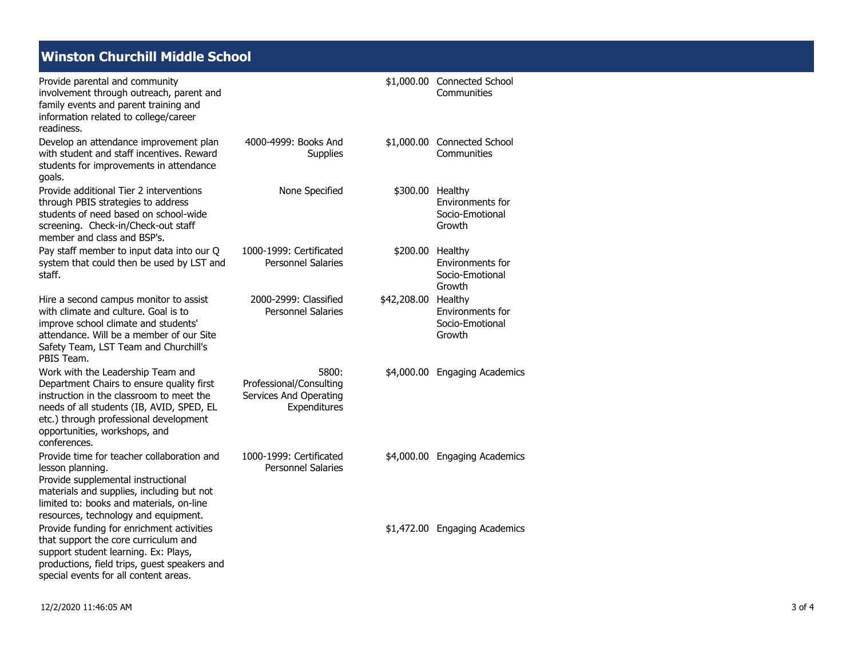### **Winston Churchill Middle School**

| Provide parental and community<br>involvement through outreach, parent and<br>family events and parent training and<br>information related to college/career<br>readiness.                                                                                         |                                                                            |                     | \$1,000.00 Connected School<br>Communities    |
|--------------------------------------------------------------------------------------------------------------------------------------------------------------------------------------------------------------------------------------------------------------------|----------------------------------------------------------------------------|---------------------|-----------------------------------------------|
| Develop an attendance improvement plan<br>with student and staff incentives. Reward<br>students for improvements in attendance<br>goals.                                                                                                                           | 4000-4999: Books And<br><b>Supplies</b>                                    |                     | \$1,000.00 Connected School<br>Communities    |
| Provide additional Tier 2 interventions<br>through PBIS strategies to address<br>students of need based on school-wide<br>screening. Check-in/Check-out staff<br>member and class and BSP's.                                                                       | None Specified                                                             | \$300.00 Healthy    | Environments for<br>Socio-Emotional<br>Growth |
| Pay staff member to input data into our Q<br>system that could then be used by LST and<br>staff.                                                                                                                                                                   | 1000-1999: Certificated<br><b>Personnel Salaries</b>                       | \$200.00 Healthy    | Environments for<br>Socio-Emotional<br>Growth |
| Hire a second campus monitor to assist<br>with climate and culture. Goal is to<br>improve school climate and students'<br>attendance. Will be a member of our Site<br>Safety Team, LST Team and Churchill's<br>PBIS Team.                                          | 2000-2999: Classified<br><b>Personnel Salaries</b>                         | \$42,208.00 Healthy | Environments for<br>Socio-Emotional<br>Growth |
| Work with the Leadership Team and<br>Department Chairs to ensure quality first<br>instruction in the classroom to meet the<br>needs of all students (IB, AVID, SPED, EL<br>etc.) through professional development<br>opportunities, workshops, and<br>conferences. | 5800:<br>Professional/Consulting<br>Services And Operating<br>Expenditures |                     | \$4,000.00 Engaging Academics                 |
| Provide time for teacher collaboration and<br>lesson planning.<br>Provide supplemental instructional<br>materials and supplies, including but not<br>limited to: books and materials, on-line<br>resources, technology and equipment.                              | 1000-1999: Certificated<br><b>Personnel Salaries</b>                       |                     | \$4,000.00 Engaging Academics                 |
| Provide funding for enrichment activities<br>that support the core curriculum and<br>support student learning. Ex: Plays,<br>productions, field trips, guest speakers and<br>special events for all content areas.                                                 |                                                                            |                     | \$1,472.00 Engaging Academics                 |